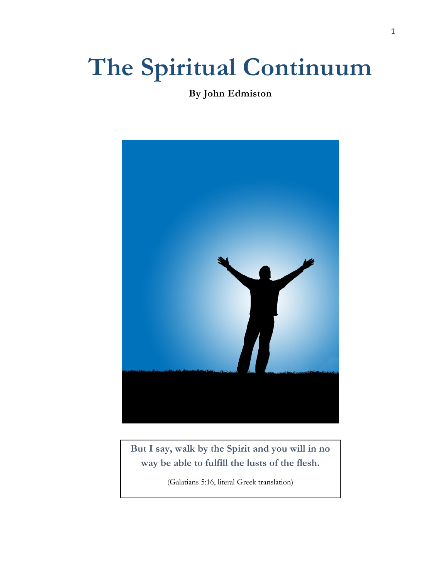# **The Spiritual Continuum**

**By John Edmiston** 



**But I say, walk by the Spirit and you will in no way be able to fulfill the lusts of the flesh.**

(Galatians 5:16, literal Greek translation)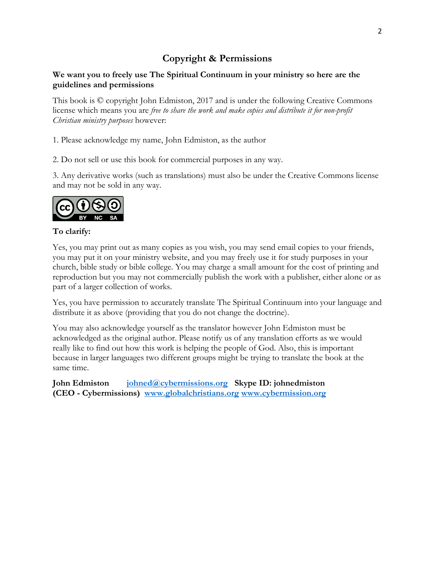## **Copyright & Permissions**

#### **We want you to freely use The Spiritual Continuum in your ministry so here are the guidelines and permissions**

This book is © copyright John Edmiston, 2017 and is under the following Creative Commons license which means you are *free to share the work and make copies and distribute it for non-profit Christian ministry purposes* however:

1. Please acknowledge my name, John Edmiston, as the author

2. Do not sell or use this book for commercial purposes in any way.

3. Any derivative works (such as translations) must also be under the Creative Commons license and may not be sold in any way.



#### **To clarify:**

Yes, you may print out as many copies as you wish, you may send email copies to your friends, you may put it on your ministry website, and you may freely use it for study purposes in your church, bible study or bible college. You may charge a small amount for the cost of printing and reproduction but you may not commercially publish the work with a publisher, either alone or as part of a larger collection of works.

Yes, you have permission to accurately translate The Spiritual Continuum into your language and distribute it as above (providing that you do not change the doctrine).

You may also acknowledge yourself as the translator however John Edmiston must be acknowledged as the original author. Please notify us of any translation efforts as we would really like to find out how this work is helping the people of God. Also, this is important because in larger languages two different groups might be trying to translate the book at the same time.

**John Edmiston [johned@cybermissions.org](mailto:johned@cybermissions.org) Skype ID: johnedmiston (CEO - Cybermissions) [www.globalchristians.org](http://www.globalchristians.org/) [www.cybermission.org](http://www.cybermission.org/)**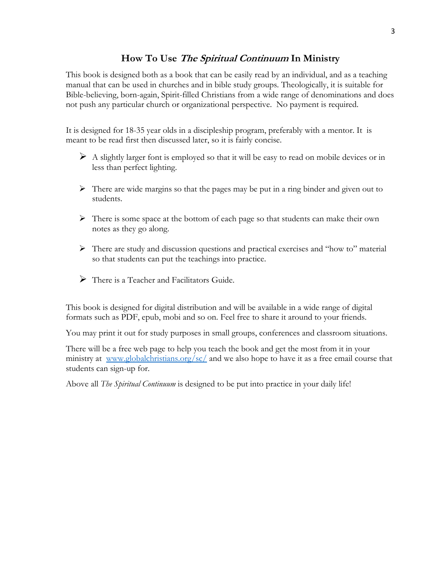#### **How To Use The Spiritual Continuum In Ministry**

This book is designed both as a book that can be easily read by an individual, and as a teaching manual that can be used in churches and in bible study groups. Theologically, it is suitable for Bible-believing, born-again, Spirit-filled Christians from a wide range of denominations and does not push any particular church or organizational perspective. No payment is required.

It is designed for 18-35 year olds in a discipleship program, preferably with a mentor. It is meant to be read first then discussed later, so it is fairly concise.

- $\triangleright$  A slightly larger font is employed so that it will be easy to read on mobile devices or in less than perfect lighting.
- $\triangleright$  There are wide margins so that the pages may be put in a ring binder and given out to students.
- $\triangleright$  There is some space at the bottom of each page so that students can make their own notes as they go along.
- There are study and discussion questions and practical exercises and "how to" material so that students can put the teachings into practice.
- $\triangleright$  There is a Teacher and Facilitators Guide.

This book is designed for digital distribution and will be available in a wide range of digital formats such as PDF, epub, mobi and so on. Feel free to share it around to your friends.

You may print it out for study purposes in small groups, conferences and classroom situations.

There will be a free web page to help you teach the book and get the most from it in your ministry at [www.globalchristians.org/sc/](http://www.globalchristians.org/sc/) and we also hope to have it as a free email course that students can sign-up for.

Above all *The Spiritual Continuum* is designed to be put into practice in your daily life!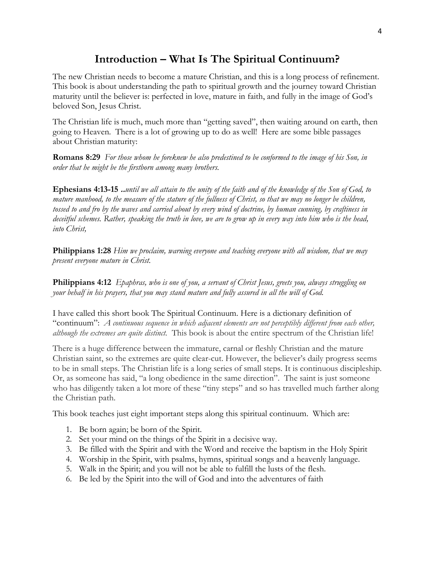## **Introduction – What Is The Spiritual Continuum?**

The new Christian needs to become a mature Christian, and this is a long process of refinement. This book is about understanding the path to spiritual growth and the journey toward Christian maturity until the believer is: perfected in love, mature in faith, and fully in the image of God's beloved Son, Jesus Christ.

The Christian life is much, much more than "getting saved", then waiting around on earth, then going to Heaven. There is a lot of growing up to do as well! Here are some bible passages about Christian maturity:

**Romans 8:29** *For those whom he foreknew he also predestined to be conformed to the image of his Son, in order that he might be the firstborn among many brothers.*

**Ephesians 4:13-15 ..***until we all attain to the unity of the faith and of the knowledge of the Son of God, to mature manhood, to the measure of the stature of the fullness of Christ, so that we may no longer be children, tossed to and fro by the waves and carried about by every wind of doctrine, by human cunning, by craftiness in deceitful schemes. Rather, speaking the truth in love, we are to grow up in every way into him who is the head, into Christ,*

**Philippians 1:28** *Him we proclaim, warning everyone and teaching everyone with all wisdom, that we may present everyone mature in Christ.*

**Philippians 4:12** *Epaphras, who is one of you, a servant of Christ Jesus, greets you, always struggling on your behalf in his prayers, that you may stand mature and fully assured in all the will of God.*

I have called this short book The Spiritual Continuum. Here is a dictionary definition of "continuum": *A continuous sequence in which adjacent elements are not perceptibly different from each other, although the extremes are quite distinct.* This book is about the entire spectrum of the Christian life!

There is a huge difference between the immature, carnal or fleshly Christian and the mature Christian saint, so the extremes are quite clear-cut. However, the believer's daily progress seems to be in small steps. The Christian life is a long series of small steps. It is continuous discipleship. Or, as someone has said, "a long obedience in the same direction". The saint is just someone who has diligently taken a lot more of these "tiny steps" and so has travelled much farther along the Christian path.

This book teaches just eight important steps along this spiritual continuum. Which are:

- 1. Be born again; be born of the Spirit.
- 2. Set your mind on the things of the Spirit in a decisive way.
- 3. Be filled with the Spirit and with the Word and receive the baptism in the Holy Spirit
- 4. Worship in the Spirit, with psalms, hymns, spiritual songs and a heavenly language.
- 5. Walk in the Spirit; and you will not be able to fulfill the lusts of the flesh.
- 6. Be led by the Spirit into the will of God and into the adventures of faith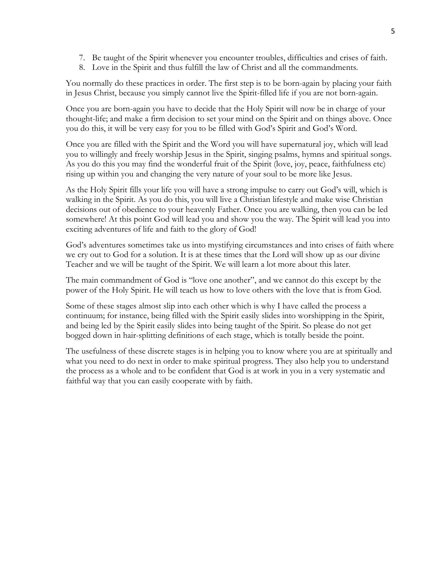- 7. Be taught of the Spirit whenever you encounter troubles, difficulties and crises of faith.
- 8. Love in the Spirit and thus fulfill the law of Christ and all the commandments.

You normally do these practices in order. The first step is to be born-again by placing your faith in Jesus Christ, because you simply cannot live the Spirit-filled life if you are not born-again.

Once you are born-again you have to decide that the Holy Spirit will now be in charge of your thought-life; and make a firm decision to set your mind on the Spirit and on things above. Once you do this, it will be very easy for you to be filled with God's Spirit and God's Word.

Once you are filled with the Spirit and the Word you will have supernatural joy, which will lead you to willingly and freely worship Jesus in the Spirit, singing psalms, hymns and spiritual songs. As you do this you may find the wonderful fruit of the Spirit (love, joy, peace, faithfulness etc) rising up within you and changing the very nature of your soul to be more like Jesus.

As the Holy Spirit fills your life you will have a strong impulse to carry out God's will, which is walking in the Spirit. As you do this, you will live a Christian lifestyle and make wise Christian decisions out of obedience to your heavenly Father. Once you are walking, then you can be led somewhere! At this point God will lead you and show you the way. The Spirit will lead you into exciting adventures of life and faith to the glory of God!

God's adventures sometimes take us into mystifying circumstances and into crises of faith where we cry out to God for a solution. It is at these times that the Lord will show up as our divine Teacher and we will be taught of the Spirit. We will learn a lot more about this later.

The main commandment of God is "love one another", and we cannot do this except by the power of the Holy Spirit. He will teach us how to love others with the love that is from God.

Some of these stages almost slip into each other which is why I have called the process a continuum; for instance, being filled with the Spirit easily slides into worshipping in the Spirit, and being led by the Spirit easily slides into being taught of the Spirit. So please do not get bogged down in hair-splitting definitions of each stage, which is totally beside the point.

The usefulness of these discrete stages is in helping you to know where you are at spiritually and what you need to do next in order to make spiritual progress. They also help you to understand the process as a whole and to be confident that God is at work in you in a very systematic and faithful way that you can easily cooperate with by faith.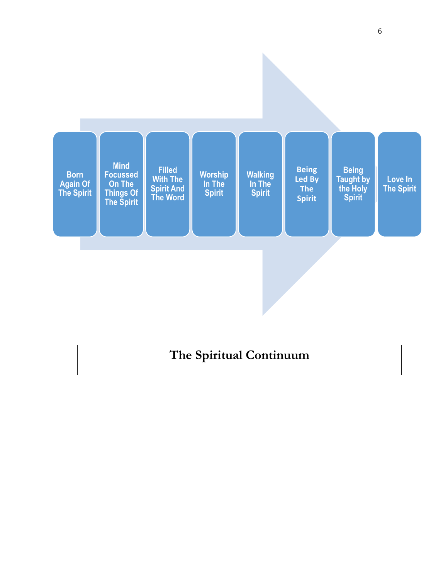

## **The Spiritual Continuum**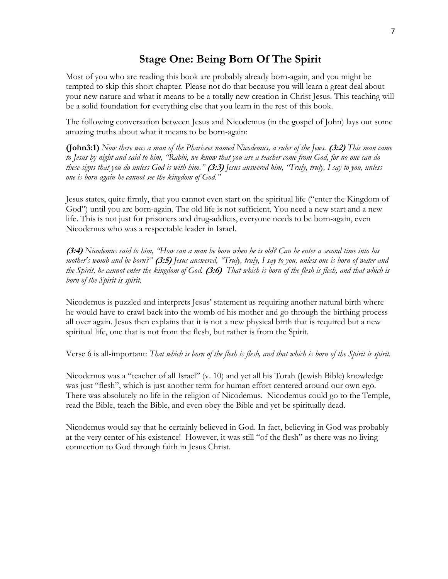## **Stage One: Being Born Of The Spirit**

Most of you who are reading this book are probably already born-again, and you might be tempted to skip this short chapter. Please not do that because you will learn a great deal about your new nature and what it means to be a totally new creation in Christ Jesus. This teaching will be a solid foundation for everything else that you learn in the rest of this book.

The following conversation between Jesus and Nicodemus (in the gospel of John) lays out some amazing truths about what it means to be born-again:

**(John3:1)** *Now there was a man of the Pharisees named Nicodemus, a ruler of the Jews.* **(3:2)** *This man came to Jesus by night and said to him, "Rabbi, we know that you are a teacher come from God, for no one can do these signs that you do unless God is with him."* **(3:3)** *Jesus answered him, "Truly, truly, I say to you, unless one is born again he cannot see the kingdom of God."*

Jesus states, quite firmly, that you cannot even start on the spiritual life ("enter the Kingdom of God") until you are born-again. The old life is not sufficient. You need a new start and a new life. This is not just for prisoners and drug-addicts, everyone needs to be born-again, even Nicodemus who was a respectable leader in Israel.

**(3:4)** *Nicodemus said to him, "How can a man be born when he is old? Can he enter a second time into his mother's womb and be born?"* **(3:5)** *Jesus answered, "Truly, truly, I say to you, unless one is born of water and the Spirit, he cannot enter the kingdom of God.* **(3:6)** *That which is born of the flesh is flesh, and that which is born of the Spirit is spirit.*

Nicodemus is puzzled and interprets Jesus' statement as requiring another natural birth where he would have to crawl back into the womb of his mother and go through the birthing process all over again. Jesus then explains that it is not a new physical birth that is required but a new spiritual life, one that is not from the flesh, but rather is from the Spirit.

Verse 6 is all-important: *That which is born of the flesh is flesh, and that which is born of the Spirit is spirit.*

Nicodemus was a "teacher of all Israel" (v. 10) and yet all his Torah (Jewish Bible) knowledge was just "flesh", which is just another term for human effort centered around our own ego. There was absolutely no life in the religion of Nicodemus. Nicodemus could go to the Temple, read the Bible, teach the Bible, and even obey the Bible and yet be spiritually dead.

Nicodemus would say that he certainly believed in God. In fact, believing in God was probably at the very center of his existence! However, it was still "of the flesh" as there was no living connection to God through faith in Jesus Christ.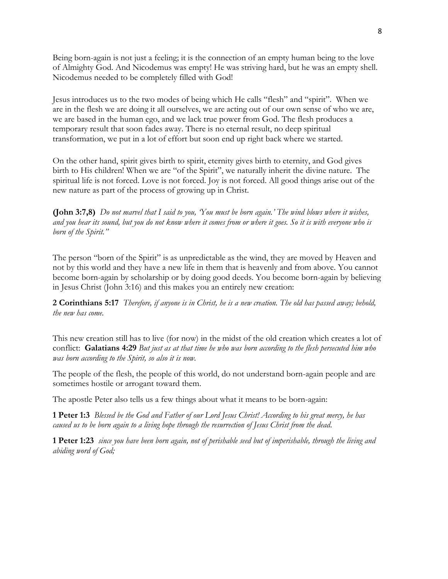Being born-again is not just a feeling; it is the connection of an empty human being to the love of Almighty God. And Nicodemus was empty! He was striving hard, but he was an empty shell. Nicodemus needed to be completely filled with God!

Jesus introduces us to the two modes of being which He calls "flesh" and "spirit". When we are in the flesh we are doing it all ourselves, we are acting out of our own sense of who we are, we are based in the human ego, and we lack true power from God. The flesh produces a temporary result that soon fades away. There is no eternal result, no deep spiritual transformation, we put in a lot of effort but soon end up right back where we started.

On the other hand, spirit gives birth to spirit, eternity gives birth to eternity, and God gives birth to His children! When we are "of the Spirit", we naturally inherit the divine nature. The spiritual life is not forced. Love is not forced. Joy is not forced. All good things arise out of the new nature as part of the process of growing up in Christ.

**(John 3:7,8)** *Do not marvel that I said to you, 'You must be born again.' The wind blows where it wishes, and you hear its sound, but you do not know where it comes from or where it goes. So it is with everyone who is born of the Spirit."*

The person "born of the Spirit" is as unpredictable as the wind, they are moved by Heaven and not by this world and they have a new life in them that is heavenly and from above. You cannot become born-again by scholarship or by doing good deeds. You become born-again by believing in Jesus Christ (John 3:16) and this makes you an entirely new creation:

**2 Corinthians 5:17** *Therefore, if anyone is in Christ, he is a new creation. The old has passed away; behold, the new has come.*

This new creation still has to live (for now) in the midst of the old creation which creates a lot of conflict: **Galatians 4:29** *But just as at that time he who was born according to the flesh persecuted him who was born according to the Spirit, so also it is now.*

The people of the flesh, the people of this world, do not understand born-again people and are sometimes hostile or arrogant toward them.

The apostle Peter also tells us a few things about what it means to be born-again:

**1 Peter 1:3** *Blessed be the God and Father of our Lord Jesus Christ! According to his great mercy, he has caused us to be born again to a living hope through the resurrection of Jesus Christ from the dead.*

**1 Peter 1:23** *since you have been born again, not of perishable seed but of imperishable, through the living and abiding word of God;*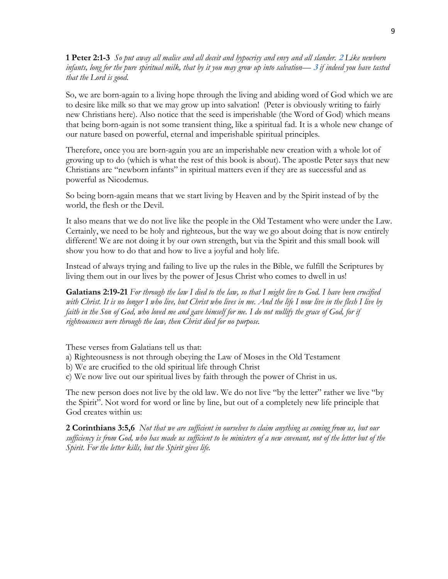**1 Peter 2:1-3** *So put away all malice and all deceit and hypocrisy and envy and all slander.* **<sup>2</sup>***Like newborn infants, long for the pure spiritual milk, that by it you may grow up into salvation—* **<sup>3</sup>***if indeed you have tasted that the Lord is good.*

So, we are born-again to a living hope through the living and abiding word of God which we are to desire like milk so that we may grow up into salvation! (Peter is obviously writing to fairly new Christians here). Also notice that the seed is imperishable (the Word of God) which means that being born-again is not some transient thing, like a spiritual fad. It is a whole new change of our nature based on powerful, eternal and imperishable spiritual principles.

Therefore, once you are born-again you are an imperishable new creation with a whole lot of growing up to do (which is what the rest of this book is about). The apostle Peter says that new Christians are "newborn infants" in spiritual matters even if they are as successful and as powerful as Nicodemus.

So being born-again means that we start living by Heaven and by the Spirit instead of by the world, the flesh or the Devil.

It also means that we do not live like the people in the Old Testament who were under the Law. Certainly, we need to be holy and righteous, but the way we go about doing that is now entirely different! We are not doing it by our own strength, but via the Spirit and this small book will show you how to do that and how to live a joyful and holy life.

Instead of always trying and failing to live up the rules in the Bible, we fulfill the Scriptures by living them out in our lives by the power of Jesus Christ who comes to dwell in us!

**Galatians 2:19-21** *For through the law I died to the law, so that I might live to God. I have been crucified with Christ. It is no longer I who live, but Christ who lives in me. And the life I now live in the flesh I live by faith in the Son of God, who loved me and gave himself for me. I do not nullify the grace of God, for if righteousness were through the law, then Christ died for no purpose.*

These verses from Galatians tell us that:

- a) Righteousness is not through obeying the Law of Moses in the Old Testament
- b) We are crucified to the old spiritual life through Christ
- c) We now live out our spiritual lives by faith through the power of Christ in us.

The new person does not live by the old law. We do not live "by the letter" rather we live "by the Spirit". Not word for word or line by line, but out of a completely new life principle that God creates within us:

**2 Corinthians 3:5,6** *Not that we are sufficient in ourselves to claim anything as coming from us, but our sufficiency is from God, who has made us sufficient to be ministers of a new covenant, not of the letter but of the Spirit. For the letter kills, but the Spirit gives life.*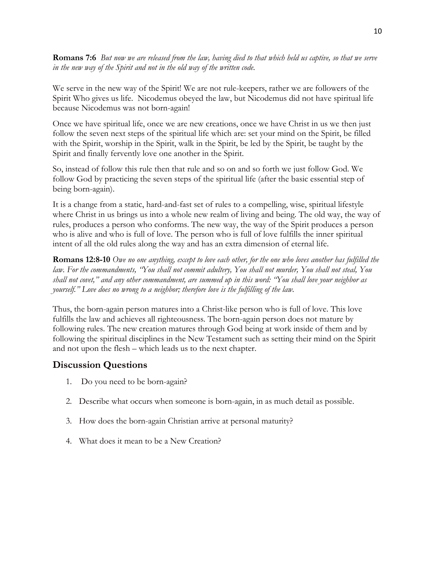**Romans 7:6** *But now we are released from the law, having died to that which held us captive, so that we serve in the new way of the Spirit and not in the old way of the written code.*

We serve in the new way of the Spirit! We are not rule-keepers, rather we are followers of the Spirit Who gives us life. Nicodemus obeyed the law, but Nicodemus did not have spiritual life because Nicodemus was not born-again!

Once we have spiritual life, once we are new creations, once we have Christ in us we then just follow the seven next steps of the spiritual life which are: set your mind on the Spirit, be filled with the Spirit, worship in the Spirit, walk in the Spirit, be led by the Spirit, be taught by the Spirit and finally fervently love one another in the Spirit.

So, instead of follow this rule then that rule and so on and so forth we just follow God. We follow God by practicing the seven steps of the spiritual life (after the basic essential step of being born-again).

It is a change from a static, hard-and-fast set of rules to a compelling, wise, spiritual lifestyle where Christ in us brings us into a whole new realm of living and being. The old way, the way of rules, produces a person who conforms. The new way, the way of the Spirit produces a person who is alive and who is full of love. The person who is full of love fulfills the inner spiritual intent of all the old rules along the way and has an extra dimension of eternal life.

**Romans 12:8-10** *Owe no one anything, except to love each other, for the one who loves another has fulfilled the law. For the commandments, "You shall not commit adultery, You shall not murder, You shall not steal, You shall not covet," and any other commandment, are summed up in this word: "You shall love your neighbor as yourself." Love does no wrong to a neighbor; therefore love is the fulfilling of the law.*

Thus, the born-again person matures into a Christ-like person who is full of love. This love fulfills the law and achieves all righteousness. The born-again person does not mature by following rules. The new creation matures through God being at work inside of them and by following the spiritual disciplines in the New Testament such as setting their mind on the Spirit and not upon the flesh – which leads us to the next chapter.

#### **Discussion Questions**

- 1. Do you need to be born-again?
- 2. Describe what occurs when someone is born-again, in as much detail as possible.
- 3. How does the born-again Christian arrive at personal maturity?
- 4. What does it mean to be a New Creation?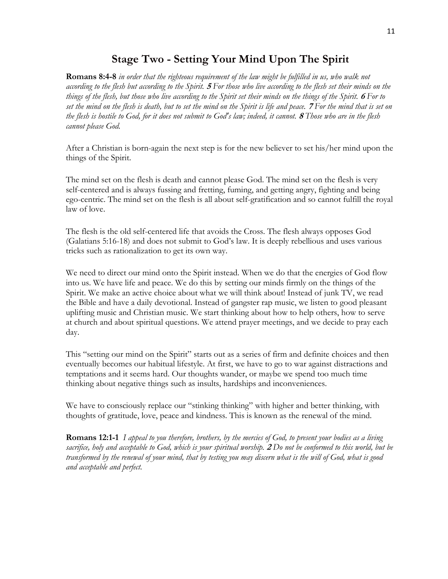## **Stage Two - Setting Your Mind Upon The Spirit**

**Romans 8:4-8** *in order that the righteous requirement of the law might be fulfilled in us, who walk not according to the flesh but according to the Spirit.* **<sup>5</sup>***For those who live according to the flesh set their minds on the things of the flesh, but those who live according to the Spirit set their minds on the things of the Spirit.* **<sup>6</sup>***For to set the mind on the flesh is death, but to set the mind on the Spirit is life and peace.* **<sup>7</sup>***For the mind that is set on the flesh is hostile to God, for it does not submit to God's law; indeed, it cannot.* **<sup>8</sup>***Those who are in the flesh cannot please God.*

After a Christian is born-again the next step is for the new believer to set his/her mind upon the things of the Spirit.

The mind set on the flesh is death and cannot please God. The mind set on the flesh is very self-centered and is always fussing and fretting, fuming, and getting angry, fighting and being ego-centric. The mind set on the flesh is all about self-gratification and so cannot fulfill the royal law of love.

The flesh is the old self-centered life that avoids the Cross. The flesh always opposes God (Galatians 5:16-18) and does not submit to God's law. It is deeply rebellious and uses various tricks such as rationalization to get its own way.

We need to direct our mind onto the Spirit instead. When we do that the energies of God flow into us. We have life and peace. We do this by setting our minds firmly on the things of the Spirit. We make an active choice about what we will think about! Instead of junk TV, we read the Bible and have a daily devotional. Instead of gangster rap music, we listen to good pleasant uplifting music and Christian music. We start thinking about how to help others, how to serve at church and about spiritual questions. We attend prayer meetings, and we decide to pray each day.

This "setting our mind on the Spirit" starts out as a series of firm and definite choices and then eventually becomes our habitual lifestyle. At first, we have to go to war against distractions and temptations and it seems hard. Our thoughts wander, or maybe we spend too much time thinking about negative things such as insults, hardships and inconveniences.

We have to consciously replace our "stinking thinking" with higher and better thinking, with thoughts of gratitude, love, peace and kindness. This is known as the renewal of the mind.

**Romans 12:1-1** *I appeal to you therefore, brothers, by the mercies of God, to present your bodies as a living sacrifice, holy and acceptable to God, which is your spiritual worship.* **<sup>2</sup>***Do not be conformed to this world, but be transformed by the renewal of your mind, that by testing you may discern what is the will of God, what is good and acceptable and perfect.*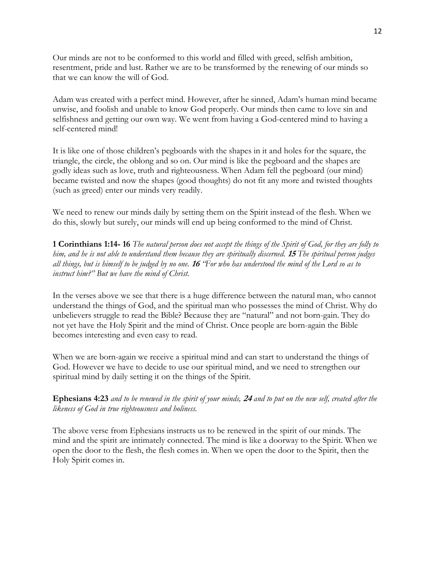Our minds are not to be conformed to this world and filled with greed, selfish ambition, resentment, pride and lust. Rather we are to be transformed by the renewing of our minds so that we can know the will of God.

Adam was created with a perfect mind. However, after he sinned, Adam's human mind became unwise, and foolish and unable to know God properly. Our minds then came to love sin and selfishness and getting our own way. We went from having a God-centered mind to having a self-centered mind!

It is like one of those children's pegboards with the shapes in it and holes for the square, the triangle, the circle, the oblong and so on. Our mind is like the pegboard and the shapes are godly ideas such as love, truth and righteousness. When Adam fell the pegboard (our mind) became twisted and now the shapes (good thoughts) do not fit any more and twisted thoughts (such as greed) enter our minds very readily.

We need to renew our minds daily by setting them on the Spirit instead of the flesh. When we do this, slowly but surely, our minds will end up being conformed to the mind of Christ.

**1 Corinthians 1:14- 16** *The natural person does not accept the things of the Spirit of God, for they are folly to him, and he is not able to understand them because they are spiritually discerned.* **<sup>15</sup>***The spiritual person judges all things, but is himself to be judged by no one.* **<sup>16</sup>***"For who has understood the mind of the Lord so as to instruct him?" But we have the mind of Christ.*

In the verses above we see that there is a huge difference between the natural man, who cannot understand the things of God, and the spiritual man who possesses the mind of Christ. Why do unbelievers struggle to read the Bible? Because they are "natural" and not born-gain. They do not yet have the Holy Spirit and the mind of Christ. Once people are born-again the Bible becomes interesting and even easy to read.

When we are born-again we receive a spiritual mind and can start to understand the things of God. However we have to decide to use our spiritual mind, and we need to strengthen our spiritual mind by daily setting it on the things of the Spirit.

**Ephesians 4:23** *and to be renewed in the spirit of your minds,* **<sup>24</sup>***and to put on the new self, created after the likeness of God in true righteousness and holiness.*

The above verse from Ephesians instructs us to be renewed in the spirit of our minds. The mind and the spirit are intimately connected. The mind is like a doorway to the Spirit. When we open the door to the flesh, the flesh comes in. When we open the door to the Spirit, then the Holy Spirit comes in.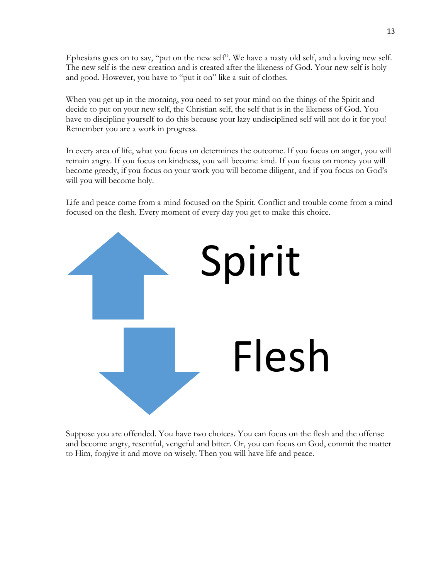Ephesians goes on to say, "put on the new self". We have a nasty old self, and a loving new self. The new self is the new creation and is created after the likeness of God. Your new self is holy and good. However, you have to "put it on" like a suit of clothes.

When you get up in the morning, you need to set your mind on the things of the Spirit and decide to put on your new self, the Christian self, the self that is in the likeness of God. You have to discipline yourself to do this because your lazy undisciplined self will not do it for you! Remember you are a work in progress.

In every area of life, what you focus on determines the outcome. If you focus on anger, you will remain angry. If you focus on kindness, you will become kind. If you focus on money you will become greedy, if you focus on your work you will become diligent, and if you focus on God's will you will become holy.

Life and peace come from a mind focused on the Spirit. Conflict and trouble come from a mind focused on the flesh. Every moment of every day you get to make this choice.



Suppose you are offended. You have two choices. You can focus on the flesh and the offense and become angry, resentful, vengeful and bitter. Or, you can focus on God, commit the matter to Him, forgive it and move on wisely. Then you will have life and peace.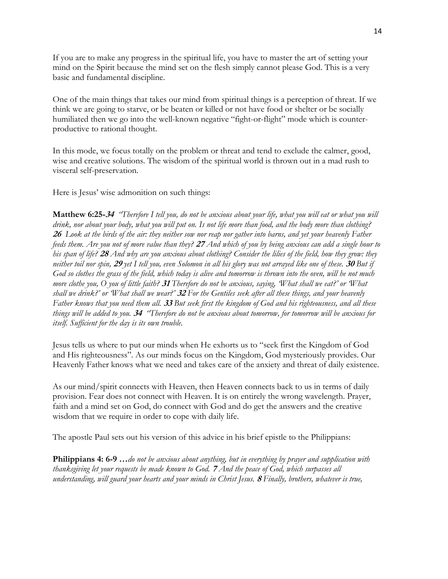If you are to make any progress in the spiritual life, you have to master the art of setting your mind on the Spirit because the mind set on the flesh simply cannot please God. This is a very basic and fundamental discipline.

One of the main things that takes our mind from spiritual things is a perception of threat. If we think we are going to starve, or be beaten or killed or not have food or shelter or be socially humiliated then we go into the well-known negative "fight-or-flight" mode which is counterproductive to rational thought.

In this mode, we focus totally on the problem or threat and tend to exclude the calmer, good, wise and creative solutions. The wisdom of the spiritual world is thrown out in a mad rush to visceral self-preservation.

Here is Jesus' wise admonition on such things:

**Matthew 6:25-<sup>34</sup>** *"Therefore I tell you, do not be anxious about your life, what you will eat or what you will drink, nor about your body, what you will put on. Is not life more than food, and the body more than clothing?* **<sup>26</sup>***Look at the birds of the air: they neither sow nor reap nor gather into barns, and yet your heavenly Father feeds them. Are you not of more value than they?* **<sup>27</sup>***And which of you by being anxious can add a single hour to his span of life?* **<sup>28</sup>***And why are you anxious about clothing? Consider the lilies of the field, how they grow: they neither toil nor spin,* **<sup>29</sup>***yet I tell you, even Solomon in all his glory was not arrayed like one of these.* **<sup>30</sup>***But if God so clothes the grass of the field, which today is alive and tomorrow is thrown into the oven, will he not much more clothe you, O you of little faith?* **<sup>31</sup>***Therefore do not be anxious, saying, 'What shall we eat?' or 'What shall we drink?' or 'What shall we wear?'* **<sup>32</sup>***For the Gentiles seek after all these things, and your heavenly Father knows that you need them all.* **<sup>33</sup>***But seek first the kingdom of God and his righteousness, and all these things will be added to you.* **<sup>34</sup>***"Therefore do not be anxious about tomorrow, for tomorrow will be anxious for itself. Sufficient for the day is its own trouble.*

Jesus tells us where to put our minds when He exhorts us to "seek first the Kingdom of God and His righteousness". As our minds focus on the Kingdom, God mysteriously provides. Our Heavenly Father knows what we need and takes care of the anxiety and threat of daily existence.

As our mind/spirit connects with Heaven, then Heaven connects back to us in terms of daily provision. Fear does not connect with Heaven. It is on entirely the wrong wavelength. Prayer, faith and a mind set on God, do connect with God and do get the answers and the creative wisdom that we require in order to cope with daily life.

The apostle Paul sets out his version of this advice in his brief epistle to the Philippians:

**Philippians 4: 6-9 …***do not be anxious about anything, but in everything by prayer and supplication with thanksgiving let your requests be made known to God.* **<sup>7</sup>***And the peace of God, which surpasses all understanding, will guard your hearts and your minds in Christ Jesus.* **<sup>8</sup>***Finally, brothers, whatever is true,*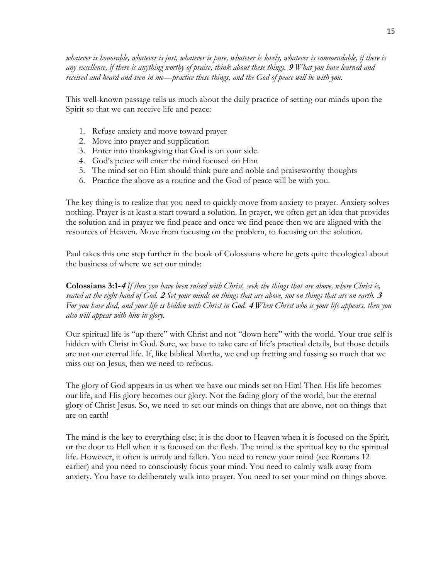*whatever is honorable, whatever is just, whatever is pure, whatever is lovely, whatever is commendable, if there is any excellence, if there is anything worthy of praise, think about these things.* **<sup>9</sup>***What you have learned and received and heard and seen in me—practice these things, and the God of peace will be with you.*

This well-known passage tells us much about the daily practice of setting our minds upon the Spirit so that we can receive life and peace:

- 1. Refuse anxiety and move toward prayer
- 2. Move into prayer and supplication
- 3. Enter into thanksgiving that God is on your side.
- 4. God's peace will enter the mind focused on Him
- 5. The mind set on Him should think pure and noble and praiseworthy thoughts
- 6. Practice the above as a routine and the God of peace will be with you.

The key thing is to realize that you need to quickly move from anxiety to prayer. Anxiety solves nothing. Prayer is at least a start toward a solution. In prayer, we often get an idea that provides the solution and in prayer we find peace and once we find peace then we are aligned with the resources of Heaven. Move from focusing on the problem, to focusing on the solution.

Paul takes this one step further in the book of Colossians where he gets quite theological about the business of where we set our minds:

**Colossians 3:1-<sup>4</sup>** *If then you have been raised with Christ, seek the things that are above, where Christ is, seated at the right hand of God.* **<sup>2</sup>***Set your minds on things that are above, not on things that are on earth.* **<sup>3</sup>** *For you have died, and your life is hidden with Christ in God.* **<sup>4</sup>***When Christ who is your life appears, then you also will appear with him in glory.*

Our spiritual life is "up there" with Christ and not "down here" with the world. Your true self is hidden with Christ in God. Sure, we have to take care of life's practical details, but those details are not our eternal life. If, like biblical Martha, we end up fretting and fussing so much that we miss out on Jesus, then we need to refocus.

The glory of God appears in us when we have our minds set on Him! Then His life becomes our life, and His glory becomes our glory. Not the fading glory of the world, but the eternal glory of Christ Jesus. So, we need to set our minds on things that are above, not on things that are on earth!

The mind is the key to everything else; it is the door to Heaven when it is focused on the Spirit, or the door to Hell when it is focused on the flesh. The mind is the spiritual key to the spiritual life. However, it often is unruly and fallen. You need to renew your mind (see Romans 12 earlier) and you need to consciously focus your mind. You need to calmly walk away from anxiety. You have to deliberately walk into prayer. You need to set your mind on things above.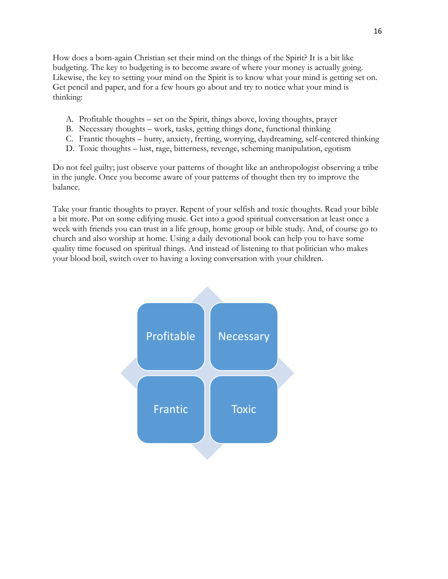How does a born-again Christian set their mind on the things of the Spirit? It is a bit like budgeting. The key to budgeting is to become aware of where your money is actually going. Likewise, the key to setting your mind on the Spirit is to know what your mind is getting set on. Get pencil and paper, and for a few hours go about and try to notice what your mind is thinking:

- A. Profitable thoughts set on the Spirit, things above, loving thoughts, prayer
- B. Necessary thoughts work, tasks, getting things done, functional thinking
- C. Frantic thoughts hurry, anxiety, fretting, worrying, daydreaming, self-centered thinking
- D. Toxic thoughts lust, rage, bitterness, revenge, scheming manipulation, egotism

Do not feel guilty; just observe your patterns of thought like an anthropologist observing a tribe in the jungle. Once you become aware of your patterns of thought then try to improve the balance.

Take your frantic thoughts to prayer. Repent of your selfish and toxic thoughts. Read your bible a bit more. Put on some edifying music. Get into a good spiritual conversation at least once a week with friends you can trust in a life group, home group or bible study. And, of course go to church and also worship at home. Using a daily devotional book can help you to have some quality time focused on spiritual things. And instead of listening to that politician who makes your blood boil, switch over to having a loving conversation with your children.

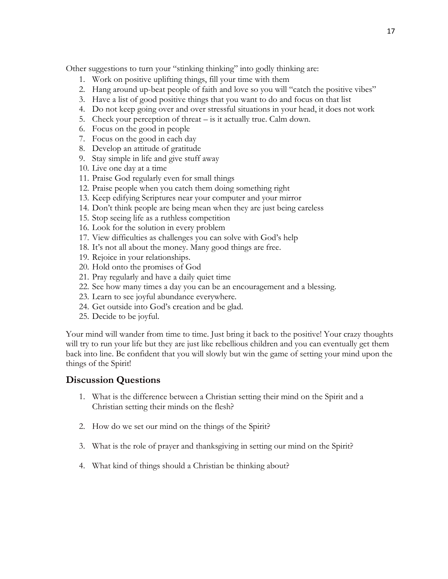Other suggestions to turn your "stinking thinking" into godly thinking are:

- 1. Work on positive uplifting things, fill your time with them
- 2. Hang around up-beat people of faith and love so you will "catch the positive vibes"
- 3. Have a list of good positive things that you want to do and focus on that list
- 4. Do not keep going over and over stressful situations in your head, it does not work
- 5. Check your perception of threat is it actually true. Calm down.
- 6. Focus on the good in people
- 7. Focus on the good in each day
- 8. Develop an attitude of gratitude
- 9. Stay simple in life and give stuff away
- 10. Live one day at a time
- 11. Praise God regularly even for small things
- 12. Praise people when you catch them doing something right
- 13. Keep edifying Scriptures near your computer and your mirror
- 14. Don't think people are being mean when they are just being careless
- 15. Stop seeing life as a ruthless competition
- 16. Look for the solution in every problem
- 17. View difficulties as challenges you can solve with God's help
- 18. It's not all about the money. Many good things are free.
- 19. Rejoice in your relationships.
- 20. Hold onto the promises of God
- 21. Pray regularly and have a daily quiet time
- 22. See how many times a day you can be an encouragement and a blessing.
- 23. Learn to see joyful abundance everywhere.
- 24. Get outside into God's creation and be glad.
- 25. Decide to be joyful.

Your mind will wander from time to time. Just bring it back to the positive! Your crazy thoughts will try to run your life but they are just like rebellious children and you can eventually get them back into line. Be confident that you will slowly but win the game of setting your mind upon the things of the Spirit!

#### **Discussion Questions**

- 1. What is the difference between a Christian setting their mind on the Spirit and a Christian setting their minds on the flesh?
- 2. How do we set our mind on the things of the Spirit?
- 3. What is the role of prayer and thanksgiving in setting our mind on the Spirit?
- 4. What kind of things should a Christian be thinking about?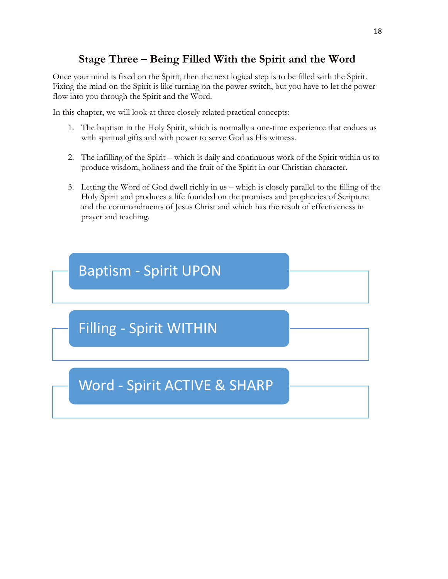## **Stage Three – Being Filled With the Spirit and the Word**

Once your mind is fixed on the Spirit, then the next logical step is to be filled with the Spirit. Fixing the mind on the Spirit is like turning on the power switch, but you have to let the power flow into you through the Spirit and the Word.

In this chapter, we will look at three closely related practical concepts:

- 1. The baptism in the Holy Spirit, which is normally a one-time experience that endues us with spiritual gifts and with power to serve God as His witness.
- 2. The infilling of the Spirit which is daily and continuous work of the Spirit within us to produce wisdom, holiness and the fruit of the Spirit in our Christian character.
- 3. Letting the Word of God dwell richly in us which is closely parallel to the filling of the Holy Spirit and produces a life founded on the promises and prophecies of Scripture and the commandments of Jesus Christ and which has the result of effectiveness in prayer and teaching.

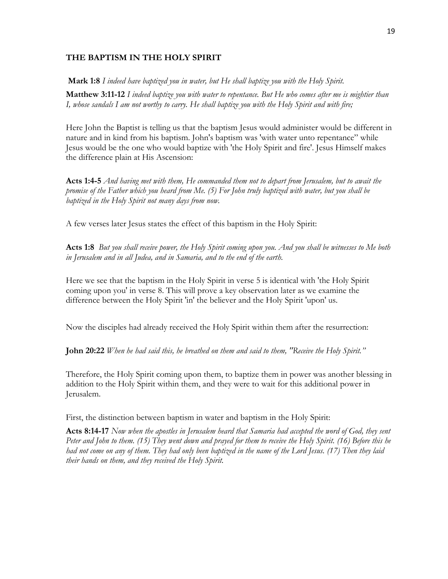#### **THE BAPTISM IN THE HOLY SPIRIT**

**Mark 1:8** *I indeed have baptized you in water, but He shall baptize you with the Holy Spirit.*

**Matthew 3:11-12** *I indeed baptize you with water to repentance. But He who comes after me is mightier than I, whose sandals I am not worthy to carry. He shall baptize you with the Holy Spirit and with fire;*

Here John the Baptist is telling us that the baptism Jesus would administer would be different in nature and in kind from his baptism. John's baptism was 'with water unto repentance" while Jesus would be the one who would baptize with 'the Holy Spirit and fire'. Jesus Himself makes the difference plain at His Ascension:

**Acts 1:4-5** *And having met with them, He commanded them not to depart from Jerusalem, but to await the promise of the Father which you heard from Me. (5) For John truly baptized with water, but you shall be baptized in the Holy Spirit not many days from now.* 

A few verses later Jesus states the effect of this baptism in the Holy Spirit:

**Acts 1:8** *But you shall receive power, the Holy Spirit coming upon you. And you shall be witnesses to Me both in Jerusalem and in all Judea, and in Samaria, and to the end of the earth.* 

Here we see that the baptism in the Holy Spirit in verse 5 is identical with 'the Holy Spirit coming upon you' in verse 8. This will prove a key observation later as we examine the difference between the Holy Spirit 'in' the believer and the Holy Spirit 'upon' us.

Now the disciples had already received the Holy Spirit within them after the resurrection:

**John 20:22** *When he had said this, he breathed on them and said to them, "Receive the Holy Spirit."*

Therefore, the Holy Spirit coming upon them, to baptize them in power was another blessing in addition to the Holy Spirit within them, and they were to wait for this additional power in Jerusalem.

First, the distinction between baptism in water and baptism in the Holy Spirit:

**Acts 8:14-17** *Now when the apostles in Jerusalem heard that Samaria had accepted the word of God, they sent Peter and John to them. (15) They went down and prayed for them to receive the Holy Spirit. (16) Before this he had not come on any of them. They had only been baptized in the name of the Lord Jesus. (17) Then they laid their hands on them, and they received the Holy Spirit.*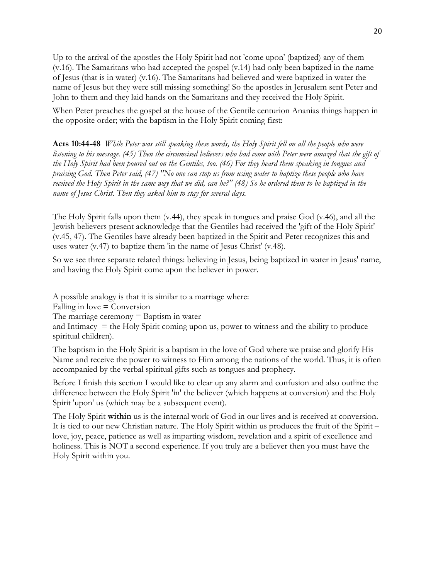Up to the arrival of the apostles the Holy Spirit had not 'come upon' (baptized) any of them (v.16). The Samaritans who had accepted the gospel (v.14) had only been baptized in the name of Jesus (that is in water) (v.16). The Samaritans had believed and were baptized in water the name of Jesus but they were still missing something! So the apostles in Jerusalem sent Peter and John to them and they laid hands on the Samaritans and they received the Holy Spirit.

When Peter preaches the gospel at the house of the Gentile centurion Ananias things happen in the opposite order; with the baptism in the Holy Spirit coming first:

**Acts 10:44-48** *While Peter was still speaking these words, the Holy Spirit fell on all the people who were listening to his message. (45) Then the circumcised believers who had come with Peter were amazed that the gift of the Holy Spirit had been poured out on the Gentiles, too. (46) For they heard them speaking in tongues and praising God. Then Peter said, (47) "No one can stop us from using water to baptize these people who have received the Holy Spirit in the same way that we did, can he?" (48) So he ordered them to be baptized in the name of Jesus Christ. Then they asked him to stay for several days.* 

The Holy Spirit falls upon them (v.44), they speak in tongues and praise God (v.46), and all the Jewish believers present acknowledge that the Gentiles had received the 'gift of the Holy Spirit' (v.45, 47). The Gentiles have already been baptized in the Spirit and Peter recognizes this and uses water (v.47) to baptize them 'in the name of Jesus Christ' (v.48).

So we see three separate related things: believing in Jesus, being baptized in water in Jesus' name, and having the Holy Spirit come upon the believer in power.

A possible analogy is that it is similar to a marriage where:

 $Falling$  in love  $=$  Conversion

The marriage ceremony  $=$  Baptism in water

and Intimacy  $=$  the Holy Spirit coming upon us, power to witness and the ability to produce spiritual children).

The baptism in the Holy Spirit is a baptism in the love of God where we praise and glorify His Name and receive the power to witness to Him among the nations of the world. Thus, it is often accompanied by the verbal spiritual gifts such as tongues and prophecy.

Before I finish this section I would like to clear up any alarm and confusion and also outline the difference between the Holy Spirit 'in' the believer (which happens at conversion) and the Holy Spirit 'upon' us (which may be a subsequent event).

The Holy Spirit **within** us is the internal work of God in our lives and is received at conversion. It is tied to our new Christian nature. The Holy Spirit within us produces the fruit of the Spirit – love, joy, peace, patience as well as imparting wisdom, revelation and a spirit of excellence and holiness. This is NOT a second experience. If you truly are a believer then you must have the Holy Spirit within you.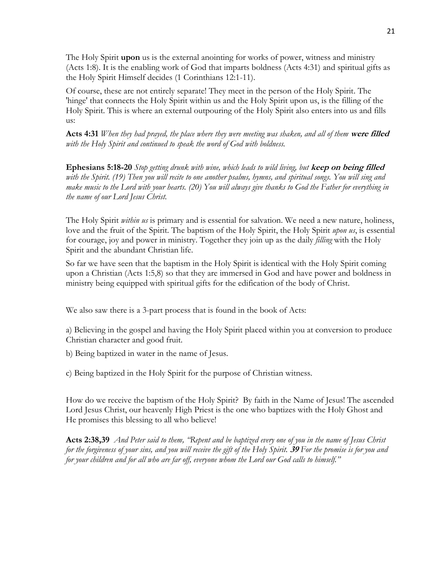The Holy Spirit **upon** us is the external anointing for works of power, witness and ministry (Acts 1:8). It is the enabling work of God that imparts boldness (Acts 4:31) and spiritual gifts as the Holy Spirit Himself decides (1 Corinthians 12:1-11).

Of course, these are not entirely separate! They meet in the person of the Holy Spirit. The 'hinge' that connects the Holy Spirit within us and the Holy Spirit upon us, is the filling of the Holy Spirit. This is where an external outpouring of the Holy Spirit also enters into us and fills us:

**Acts 4:31** *When they had prayed, the place where they were meeting was shaken, and all of them* **were filled** *with the Holy Spirit and continued to speak the word of God with boldness.* 

**Ephesians 5:18-20** *Stop getting drunk with wine, which leads to wild living, but* **keep on being filled** *with the Spirit. (19) Then you will recite to one another psalms, hymns, and spiritual songs. You will sing and make music to the Lord with your hearts. (20) You will always give thanks to God the Father for everything in the name of our Lord Jesus Christ.*

The Holy Spirit *within us* is primary and is essential for salvation. We need a new nature, holiness, love and the fruit of the Spirit. The baptism of the Holy Spirit, the Holy Spirit *upon us*, is essential for courage, joy and power in ministry. Together they join up as the daily *filling* with the Holy Spirit and the abundant Christian life.

So far we have seen that the baptism in the Holy Spirit is identical with the Holy Spirit coming upon a Christian (Acts 1:5,8) so that they are immersed in God and have power and boldness in ministry being equipped with spiritual gifts for the edification of the body of Christ.

We also saw there is a 3-part process that is found in the book of Acts:

a) Believing in the gospel and having the Holy Spirit placed within you at conversion to produce Christian character and good fruit.

b) Being baptized in water in the name of Jesus.

c) Being baptized in the Holy Spirit for the purpose of Christian witness.

How do we receive the baptism of the Holy Spirit? By faith in the Name of Jesus! The ascended Lord Jesus Christ, our heavenly High Priest is the one who baptizes with the Holy Ghost and He promises this blessing to all who believe!

**Acts 2:38,39** *And Peter said to them, "Repent and be baptized every one of you in the name of Jesus Christ for the forgiveness of your sins, and you will receive the gift of the Holy Spirit.* **<sup>39</sup>***For the promise is for you and for your children and for all who are far off, everyone whom the Lord our God calls to himself."*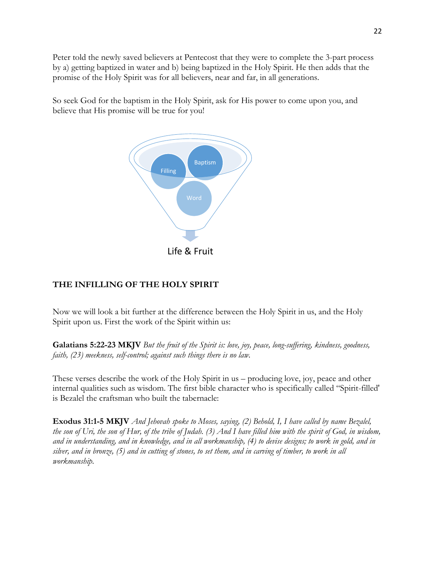Peter told the newly saved believers at Pentecost that they were to complete the 3-part process by a) getting baptized in water and b) being baptized in the Holy Spirit. He then adds that the promise of the Holy Spirit was for all believers, near and far, in all generations.

So seek God for the baptism in the Holy Spirit, ask for His power to come upon you, and believe that His promise will be true for you!



#### **THE INFILLING OF THE HOLY SPIRIT**

Now we will look a bit further at the difference between the Holy Spirit in us, and the Holy Spirit upon us. First the work of the Spirit within us:

**Galatians 5:22-23 MKJV** *But the fruit of the Spirit is: love, joy, peace, long-suffering, kindness, goodness, faith, (23) meekness, self-control; against such things there is no law.* 

These verses describe the work of the Holy Spirit in us – producing love, joy, peace and other internal qualities such as wisdom. The first bible character who is specifically called "Spirit-filled' is Bezalel the craftsman who built the tabernacle:

**Exodus 31:1-5 MKJV** *And Jehovah spoke to Moses, saying, (2) Behold, I, I have called by name Bezalel, the son of Uri, the son of Hur, of the tribe of Judah. (3) And I have filled him with the spirit of God, in wisdom, and in understanding, and in knowledge, and in all workmanship, (4) to devise designs; to work in gold, and in silver, and in bronze, (5) and in cutting of stones, to set them, and in carving of timber, to work in all workmanship.*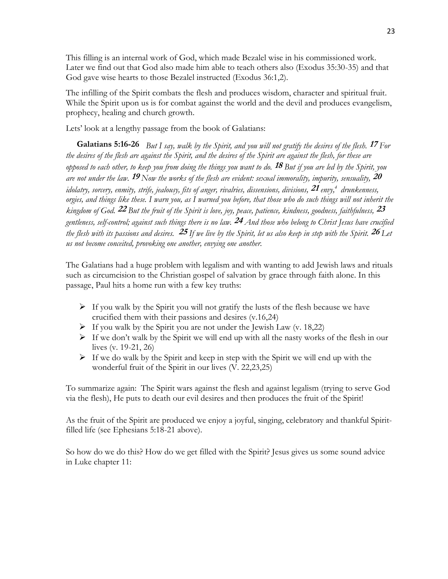This filling is an internal work of God, which made Bezalel wise in his commissioned work. Later we find out that God also made him able to teach others also (Exodus 35:30-35) and that God gave wise hearts to those Bezalel instructed (Exodus 36:1,2).

The infilling of the Spirit combats the flesh and produces wisdom, character and spiritual fruit. While the Spirit upon us is for combat against the world and the devil and produces evangelism, prophecy, healing and church growth.

Lets' look at a lengthy passage from the book of Galatians:

**Galatians 5:16-26** *But I say, walk by the Spirit, and you will not gratify the desires of the flesh.* **<sup>17</sup>***For the desires of the flesh are against the Spirit, and the desires of the Spirit are against the flesh, for these are opposed to each other, to keep you from doing the things you want to do.* **<sup>18</sup>***But if you are led by the Spirit, you are not under the law.* **<sup>19</sup>***Now the works of the flesh are evident: sexual immorality, impurity, sensuality,* **<sup>20</sup>** *idolatry, sorcery, enmity, strife, jealousy, fits of anger, rivalries, dissensions, divisions,* **<sup>21</sup>***envy,[4](tw://_mem_obj_97581906/?tid=4|_IGNORE_|_BIBLEVIEWPOPUP_|verse:48.5.21|modid:esv2011) drunkenness, orgies, and things like these. I warn you, as I warned you before, that those who do such things will not inherit the kingdom of God.* **<sup>22</sup>***But the fruit of the Spirit is love, joy, peace, patience, kindness, goodness, faithfulness,* **<sup>23</sup>** *gentleness, self-control; against such things there is no law.* **<sup>24</sup>***And those who belong to Christ Jesus have crucified the flesh with its passions and desires.* **<sup>25</sup>***If we live by the Spirit, let us also keep in step with the Spirit.* **<sup>26</sup>***Let us not become conceited, provoking one another, envying one another.*

The Galatians had a huge problem with legalism and with wanting to add Jewish laws and rituals such as circumcision to the Christian gospel of salvation by grace through faith alone. In this passage, Paul hits a home run with a few key truths:

- $\triangleright$  If you walk by the Spirit you will not gratify the lusts of the flesh because we have crucified them with their passions and desires (v.16,24)
- $\triangleright$  If you walk by the Spirit you are not under the Jewish Law (v. 18,22)
- $\triangleright$  If we don't walk by the Spirit we will end up with all the nasty works of the flesh in our lives (v. 19-21, 26)
- $\triangleright$  If we do walk by the Spirit and keep in step with the Spirit we will end up with the wonderful fruit of the Spirit in our lives (V. 22,23,25)

To summarize again: The Spirit wars against the flesh and against legalism (trying to serve God via the flesh), He puts to death our evil desires and then produces the fruit of the Spirit!

As the fruit of the Spirit are produced we enjoy a joyful, singing, celebratory and thankful Spiritfilled life (see Ephesians 5:18-21 above).

So how do we do this? How do we get filled with the Spirit? Jesus gives us some sound advice in Luke chapter 11: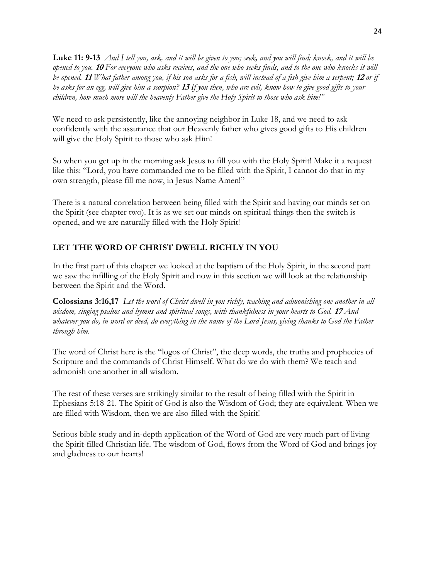**Luke 11: 9-13** *And I tell you, ask, and it will be given to you; seek, and you will find; knock, and it will be opened to you.* **<sup>10</sup>***For everyone who asks receives, and the one who seeks finds, and to the one who knocks it will be opened.* **<sup>11</sup>***What father among you, if his son asks for a fish, will instead of a fish give him a serpent;* **<sup>12</sup>***or if he asks for an egg, will give him a scorpion?* **<sup>13</sup>***If you then, who are evil, know how to give good gifts to your children, how much more will the heavenly Father give the Holy Spirit to those who ask him!"*

We need to ask persistently, like the annoying neighbor in Luke 18, and we need to ask confidently with the assurance that our Heavenly father who gives good gifts to His children will give the Holy Spirit to those who ask Him!

So when you get up in the morning ask Jesus to fill you with the Holy Spirit! Make it a request like this: "Lord, you have commanded me to be filled with the Spirit, I cannot do that in my own strength, please fill me now, in Jesus Name Amen!"

There is a natural correlation between being filled with the Spirit and having our minds set on the Spirit (see chapter two). It is as we set our minds on spiritual things then the switch is opened, and we are naturally filled with the Holy Spirit!

#### **LET THE WORD OF CHRIST DWELL RICHLY IN YOU**

In the first part of this chapter we looked at the baptism of the Holy Spirit, in the second part we saw the infilling of the Holy Spirit and now in this section we will look at the relationship between the Spirit and the Word.

**Colossians 3:16,17** *Let the word of Christ dwell in you richly, teaching and admonishing one another in all wisdom, singing psalms and hymns and spiritual songs, with thankfulness in your hearts to God.* **<sup>17</sup>***And whatever you do, in word or deed, do everything in the name of the Lord Jesus, giving thanks to God the Father through him.*

The word of Christ here is the "logos of Christ", the deep words, the truths and prophecies of Scripture and the commands of Christ Himself. What do we do with them? We teach and admonish one another in all wisdom.

The rest of these verses are strikingly similar to the result of being filled with the Spirit in Ephesians 5:18-21. The Spirit of God is also the Wisdom of God; they are equivalent. When we are filled with Wisdom, then we are also filled with the Spirit!

Serious bible study and in-depth application of the Word of God are very much part of living the Spirit-filled Christian life. The wisdom of God, flows from the Word of God and brings joy and gladness to our hearts!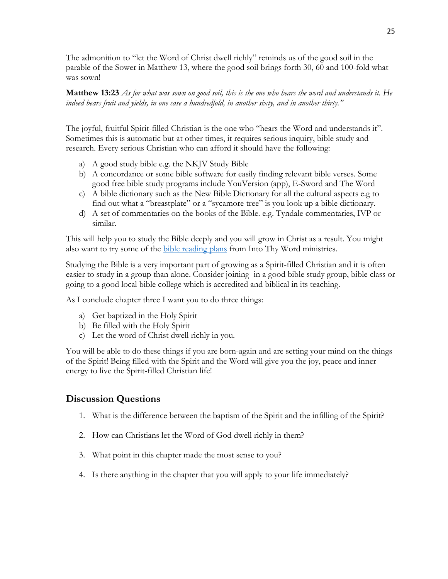The admonition to "let the Word of Christ dwell richly" reminds us of the good soil in the parable of the Sower in Matthew 13, where the good soil brings forth 30, 60 and 100-fold what was sown!

**Matthew 13:23** *As for what was sown on good soil, this is the one who hears the word and understands it. He indeed bears fruit and yields, in one case a hundredfold, in another sixty, and in another thirty."*

The joyful, fruitful Spirit-filled Christian is the one who "hears the Word and understands it". Sometimes this is automatic but at other times, it requires serious inquiry, bible study and research. Every serious Christian who can afford it should have the following:

- a) A good study bible e.g. the NKJV Study Bible
- b) A concordance or some bible software for easily finding relevant bible verses. Some good free bible study programs include YouVersion (app), E-Sword and The Word
- c) A bible dictionary such as the New Bible Dictionary for all the cultural aspects e.g to find out what a "breastplate" or a "sycamore tree" is you look up a bible dictionary.
- d) A set of commentaries on the books of the Bible. e.g. Tyndale commentaries, IVP or similar.

This will help you to study the Bible deeply and you will grow in Christ as a result. You might also want to try some of the [bible reading plans](http://www.intothyword.org/pages.asp?pageid=53493) from Into Thy Word ministries.

Studying the Bible is a very important part of growing as a Spirit-filled Christian and it is often easier to study in a group than alone. Consider joining in a good bible study group, bible class or going to a good local bible college which is accredited and biblical in its teaching.

As I conclude chapter three I want you to do three things:

- a) Get baptized in the Holy Spirit
- b) Be filled with the Holy Spirit
- c) Let the word of Christ dwell richly in you.

You will be able to do these things if you are born-again and are setting your mind on the things of the Spirit! Being filled with the Spirit and the Word will give you the joy, peace and inner energy to live the Spirit-filled Christian life!

#### **Discussion Questions**

- 1. What is the difference between the baptism of the Spirit and the infilling of the Spirit?
- 2. How can Christians let the Word of God dwell richly in them?
- 3. What point in this chapter made the most sense to you?
- 4. Is there anything in the chapter that you will apply to your life immediately?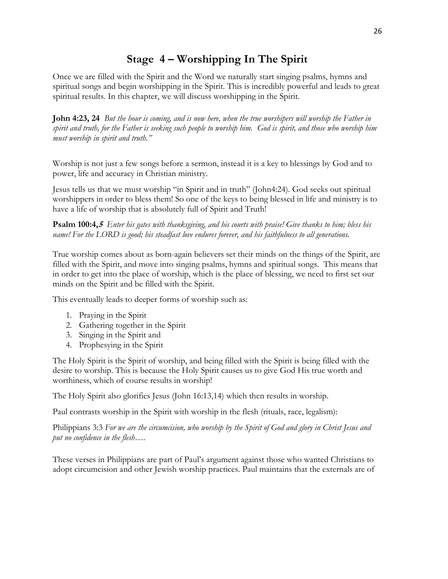## **Stage 4 – Worshipping In The Spirit**

Once we are filled with the Spirit and the Word we naturally start singing psalms, hymns and spiritual songs and begin worshipping in the Spirit. This is incredibly powerful and leads to great spiritual results. In this chapter, we will discuss worshipping in the Spirit.

**John 4:23, 24** *But the hour is coming, and is now here, when the true worshipers will worship the Father in spirit and truth, for the Father is seeking such people to worship him.**God is spirit, and those who worship him must worship in spirit and truth."*

Worship is not just a few songs before a sermon, instead it is a key to blessings by God and to power, life and accuracy in Christian ministry.

Jesus tells us that we must worship "in Spirit and in truth" (John4:24). God seeks out spiritual worshippers in order to bless them! So one of the keys to being blessed in life and ministry is to have a life of worship that is absolutely full of Spirit and Truth!

**Psalm 100:4,<sup>5</sup>** *Enter his gates with thanksgiving, and his courts with praise! Give thanks to him; bless his name! For the LORD is good; his steadfast love endures forever, and his faithfulness to all generations.*

True worship comes about as born-again believers set their minds on the things of the Spirit, are filled with the Spirit, and move into singing psalms, hymns and spiritual songs. This means that in order to get into the place of worship, which is the place of blessing, we need to first set our minds on the Spirit and be filled with the Spirit.

This eventually leads to deeper forms of worship such as:

- 1. Praying in the Spirit
- 2. Gathering together in the Spirit
- 3. Singing in the Spirit and
- 4. Prophesying in the Spirit

The Holy Spirit is the Spirit of worship, and being filled with the Spirit is being filled with the desire to worship. This is because the Holy Spirit causes us to give God His true worth and worthiness, which of course results in worship!

The Holy Spirit also glorifies Jesus (John 16:13,14) which then results in worship.

Paul contrasts worship in the Spirit with worship in the flesh (rituals, race, legalism):

Philippians 3:3 *For we are the circumcision, who worship by the Spirit of God and glory in Christ Jesus and put no confidence in the flesh….*

These verses in Philippians are part of Paul's argument against those who wanted Christians to adopt circumcision and other Jewish worship practices. Paul maintains that the externals are of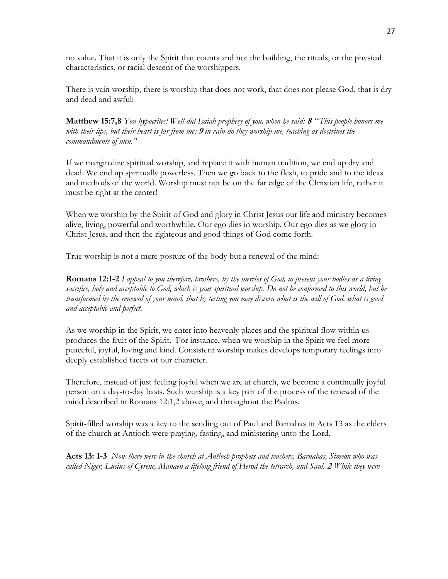no value. That it is only the Spirit that counts and not the building, the rituals, or the physical characteristics, or racial descent of the worshippers.

There is vain worship, there is worship that does not work, that does not please God, that is dry and dead and awful:

**Matthew 15:7,8** *You hypocrites! Well did Isaiah prophesy of you, when he said:* **<sup>8</sup>***"'This people honors me with their lips, but their heart is far from me;* **<sup>9</sup>***in vain do they worship me, teaching as doctrines the commandments of men."*

If we marginalize spiritual worship, and replace it with human tradition, we end up dry and dead. We end up spiritually powerless. Then we go back to the flesh, to pride and to the ideas and methods of the world. Worship must not be on the far edge of the Christian life, rather it must be right at the center!

When we worship by the Spirit of God and glory in Christ Jesus our life and ministry becomes alive, living, powerful and worthwhile. Our ego dies in worship. Our ego dies as we glory in Christ Jesus, and then the righteous and good things of God come forth.

True worship is not a mere posture of the body but a renewal of the mind:

**Romans 12:1-2** *I appeal to you therefore, brothers, by the mercies of God, to present your bodies as a living sacrifice, holy and acceptable to God, which is your spiritual worship. Do not be conformed to this world, but be transformed by the renewal of your mind, that by testing you may discern what is the will of God, what is good and acceptable and perfect.*

As we worship in the Spirit, we enter into heavenly places and the spiritual flow within us produces the fruit of the Spirit. For instance, when we worship in the Spirit we feel more peaceful, joyful, loving and kind. Consistent worship makes develops temporary feelings into deeply established facets of our character.

Therefore, instead of just feeling joyful when we are at church, we become a continually joyful person on a day-to-day basis. Such worship is a key part of the process of the renewal of the mind described in Romans 12:1,2 above, and throughout the Psalms.

Spirit-filled worship was a key to the sending out of Paul and Barnabas in Acts 13 as the elders of the church at Antioch were praying, fasting, and ministering unto the Lord.

**Acts 13: 1-3** *Now there were in the church at Antioch prophets and teachers, Barnabas, Simeon who was called Niger, Lucius of Cyrene, Manaen a lifelong friend of Herod the tetrarch, and Saul.* **<sup>2</sup>***While they were*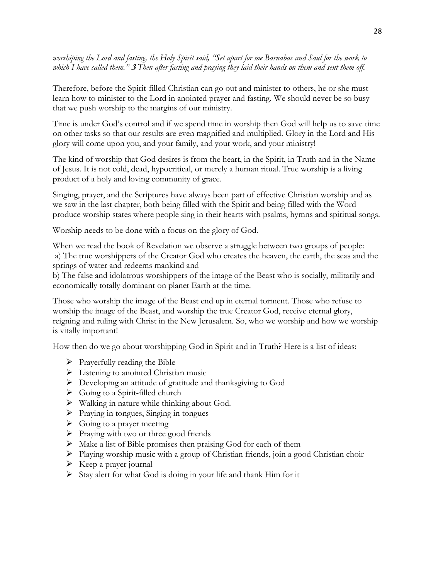*worshiping the Lord and fasting, the Holy Spirit said, "Set apart for me Barnabas and Saul for the work to which I have called them."* **<sup>3</sup>***Then after fasting and praying they laid their hands on them and sent them off.*

Therefore, before the Spirit-filled Christian can go out and minister to others, he or she must learn how to minister to the Lord in anointed prayer and fasting. We should never be so busy that we push worship to the margins of our ministry.

Time is under God's control and if we spend time in worship then God will help us to save time on other tasks so that our results are even magnified and multiplied. Glory in the Lord and His glory will come upon you, and your family, and your work, and your ministry!

The kind of worship that God desires is from the heart, in the Spirit, in Truth and in the Name of Jesus. It is not cold, dead, hypocritical, or merely a human ritual. True worship is a living product of a holy and loving community of grace.

Singing, prayer, and the Scriptures have always been part of effective Christian worship and as we saw in the last chapter, both being filled with the Spirit and being filled with the Word produce worship states where people sing in their hearts with psalms, hymns and spiritual songs.

Worship needs to be done with a focus on the glory of God.

When we read the book of Revelation we observe a struggle between two groups of people: a) The true worshippers of the Creator God who creates the heaven, the earth, the seas and the springs of water and redeems mankind and

b) The false and idolatrous worshippers of the image of the Beast who is socially, militarily and economically totally dominant on planet Earth at the time.

Those who worship the image of the Beast end up in eternal torment. Those who refuse to worship the image of the Beast, and worship the true Creator God, receive eternal glory, reigning and ruling with Christ in the New Jerusalem. So, who we worship and how we worship is vitally important!

How then do we go about worshipping God in Spirit and in Truth? Here is a list of ideas:

- $\triangleright$  Prayerfully reading the Bible
- $\triangleright$  Listening to anointed Christian music
- Developing an attitude of gratitude and thanksgiving to God
- $\triangleright$  Going to a Spirit-filled church
- $\triangleright$  Walking in nature while thinking about God.
- $\triangleright$  Praying in tongues, Singing in tongues
- $\triangleright$  Going to a prayer meeting
- $\triangleright$  Praying with two or three good friends
- $\triangleright$  Make a list of Bible promises then praising God for each of them
- $\triangleright$  Playing worship music with a group of Christian friends, join a good Christian choir
- $\triangleright$  Keep a prayer journal
- $\triangleright$  Stay alert for what God is doing in your life and thank Him for it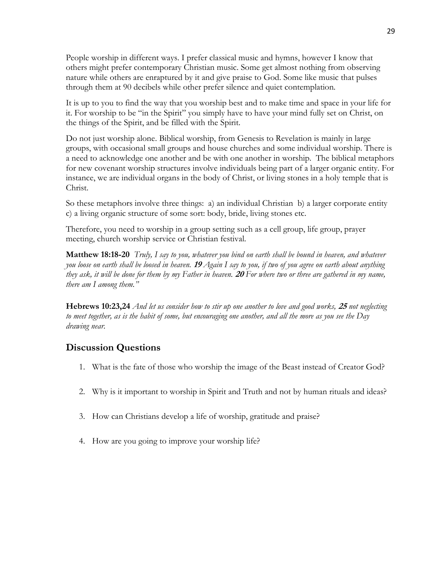People worship in different ways. I prefer classical music and hymns, however I know that others might prefer contemporary Christian music. Some get almost nothing from observing nature while others are enraptured by it and give praise to God. Some like music that pulses through them at 90 decibels while other prefer silence and quiet contemplation.

It is up to you to find the way that you worship best and to make time and space in your life for it. For worship to be "in the Spirit" you simply have to have your mind fully set on Christ, on the things of the Spirit, and be filled with the Spirit.

Do not just worship alone. Biblical worship, from Genesis to Revelation is mainly in large groups, with occasional small groups and house churches and some individual worship. There is a need to acknowledge one another and be with one another in worship. The biblical metaphors for new covenant worship structures involve individuals being part of a larger organic entity. For instance, we are individual organs in the body of Christ, or living stones in a holy temple that is Christ.

So these metaphors involve three things: a) an individual Christian b) a larger corporate entity c) a living organic structure of some sort: body, bride, living stones etc.

Therefore, you need to worship in a group setting such as a cell group, life group, prayer meeting, church worship service or Christian festival.

**Matthew 18:18-20** *Truly, I say to you, whatever you bind on earth shall be bound in heaven, and whatever you loose on earth shall be loosed in heaven.* **<sup>19</sup>***Again I say to you, if two of you agree on earth about anything they ask, it will be done for them by my Father in heaven.* **<sup>20</sup>***For where two or three are gathered in my name, there am I among them."*

**Hebrews 10:23,24** *And let us consider how to stir up one another to love and good works,* **<sup>25</sup>***not neglecting to meet together, as is the habit of some, but encouraging one another, and all the more as you see the Day drawing near.*

#### **Discussion Questions**

- 1. What is the fate of those who worship the image of the Beast instead of Creator God?
- 2. Why is it important to worship in Spirit and Truth and not by human rituals and ideas?
- 3. How can Christians develop a life of worship, gratitude and praise?
- 4. How are you going to improve your worship life?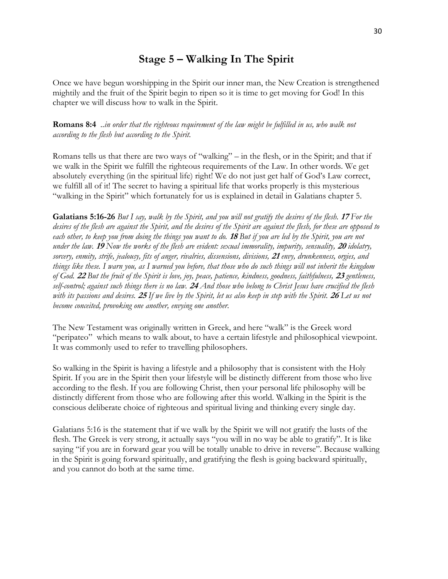## **Stage 5 – Walking In The Spirit**

Once we have begun worshipping in the Spirit our inner man, the New Creation is strengthened mightily and the fruit of the Spirit begin to ripen so it is time to get moving for God! In this chapter we will discuss how to walk in the Spirit.

**Romans 8:4** *..in order that the righteous requirement of the law might be fulfilled in us, who walk not according to the flesh but according to the Spirit.*

Romans tells us that there are two ways of "walking" – in the flesh, or in the Spirit; and that if we walk in the Spirit we fulfill the righteous requirements of the Law. In other words. We get absolutely everything (in the spiritual life) right! We do not just get half of God's Law correct, we fulfill all of it! The secret to having a spiritual life that works properly is this mysterious "walking in the Spirit" which fortunately for us is explained in detail in Galatians chapter 5.

**Galatians 5:16-26** *But I say, walk by the Spirit, and you will not gratify the desires of the flesh.* **<sup>17</sup>***For the desires of the flesh are against the Spirit, and the desires of the Spirit are against the flesh, for these are opposed to each other, to keep you from doing the things you want to do.* **<sup>18</sup>***But if you are led by the Spirit, you are not under the law.* **<sup>19</sup>***Now the works of the flesh are evident: sexual immorality, impurity, sensuality,* **<sup>20</sup>***idolatry, sorcery, enmity, strife, jealousy, fits of anger, rivalries, dissensions, divisions,* **<sup>21</sup>***envy, drunkenness, orgies, and things like these. I warn you, as I warned you before, that those who do such things will not inherit the kingdom of God.* **<sup>22</sup>***But the fruit of the Spirit is love, joy, peace, patience, kindness, goodness, faithfulness,* **<sup>23</sup>***gentleness, self-control; against such things there is no law.* **<sup>24</sup>***And those who belong to Christ Jesus have crucified the flesh with its passions and desires.* **<sup>25</sup>***If we live by the Spirit, let us also keep in step with the Spirit.* **<sup>26</sup>***Let us not become conceited, provoking one another, envying one another.*

The New Testament was originally written in Greek, and here "walk" is the Greek word "peripateo" which means to walk about, to have a certain lifestyle and philosophical viewpoint. It was commonly used to refer to travelling philosophers.

So walking in the Spirit is having a lifestyle and a philosophy that is consistent with the Holy Spirit. If you are in the Spirit then your lifestyle will be distinctly different from those who live according to the flesh. If you are following Christ, then your personal life philosophy will be distinctly different from those who are following after this world. Walking in the Spirit is the conscious deliberate choice of righteous and spiritual living and thinking every single day.

Galatians 5:16 is the statement that if we walk by the Spirit we will not gratify the lusts of the flesh. The Greek is very strong, it actually says "you will in no way be able to gratify". It is like saying "if you are in forward gear you will be totally unable to drive in reverse". Because walking in the Spirit is going forward spiritually, and gratifying the flesh is going backward spiritually, and you cannot do both at the same time.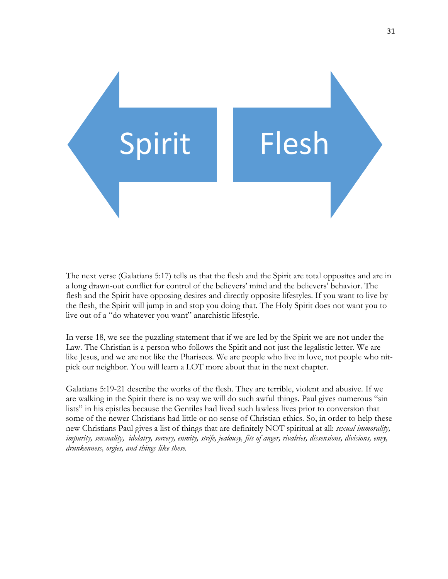

The next verse (Galatians 5:17) tells us that the flesh and the Spirit are total opposites and are in a long drawn-out conflict for control of the believers' mind and the believers' behavior. The flesh and the Spirit have opposing desires and directly opposite lifestyles. If you want to live by the flesh, the Spirit will jump in and stop you doing that. The Holy Spirit does not want you to live out of a "do whatever you want" anarchistic lifestyle.

In verse 18, we see the puzzling statement that if we are led by the Spirit we are not under the Law. The Christian is a person who follows the Spirit and not just the legalistic letter. We are like Jesus, and we are not like the Pharisees. We are people who live in love, not people who nitpick our neighbor. You will learn a LOT more about that in the next chapter.

Galatians 5:19-21 describe the works of the flesh. They are terrible, violent and abusive. If we are walking in the Spirit there is no way we will do such awful things. Paul gives numerous "sin lists" in his epistles because the Gentiles had lived such lawless lives prior to conversion that some of the newer Christians had little or no sense of Christian ethics. So, in order to help these new Christians Paul gives a list of things that are definitely NOT spiritual at all: *sexual immorality, impurity, sensuality, idolatry, sorcery, enmity, strife, jealousy, fits of anger, rivalries, dissensions, divisions, envy, drunkenness, orgies, and things like these.*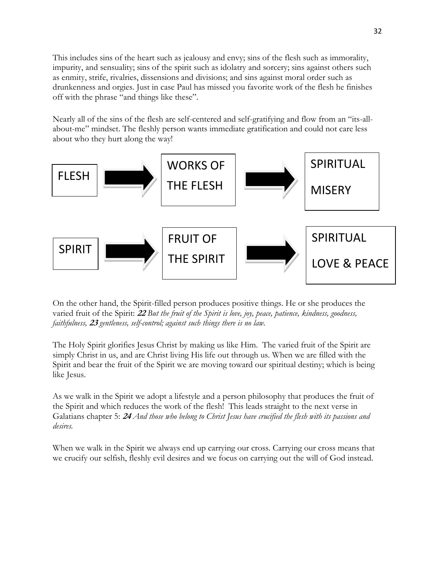This includes sins of the heart such as jealousy and envy; sins of the flesh such as immorality, impurity, and sensuality; sins of the spirit such as idolatry and sorcery; sins against others such as enmity, strife, rivalries, dissensions and divisions; and sins against moral order such as drunkenness and orgies. Just in case Paul has missed you favorite work of the flesh he finishes off with the phrase "and things like these".

Nearly all of the sins of the flesh are self-centered and self-gratifying and flow from an "its-allabout-me" mindset. The fleshly person wants immediate gratification and could not care less about who they hurt along the way!

![](_page_31_Figure_2.jpeg)

On the other hand, the Spirit-filled person produces positive things. He or she produces the varied fruit of the Spirit: **22** *But the fruit of the Spirit is love, joy, peace, patience, kindness, goodness, faithfulness,* **<sup>23</sup>***gentleness, self-control; against such things there is no law.*

The Holy Spirit glorifies Jesus Christ by making us like Him. The varied fruit of the Spirit are simply Christ in us, and are Christ living His life out through us. When we are filled with the Spirit and bear the fruit of the Spirit we are moving toward our spiritual destiny; which is being like Jesus.

As we walk in the Spirit we adopt a lifestyle and a person philosophy that produces the fruit of the Spirit and which reduces the work of the flesh! This leads straight to the next verse in Galatians chapter 5: **24** *And those who belong to Christ Jesus have crucified the flesh with its passions and desires.*

When we walk in the Spirit we always end up carrying our cross. Carrying our cross means that we crucify our selfish, fleshly evil desires and we focus on carrying out the will of God instead.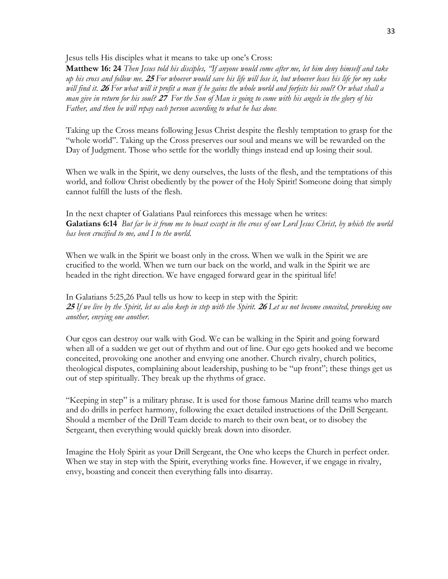Jesus tells His disciples what it means to take up one's Cross:

**Matthew 16: 24** *Then Jesus told his disciples, "If anyone would come after me, let him deny himself and take up his cross and follow me.* **<sup>25</sup>***For whoever would save his life will lose it, but whoever loses his life for my sake will find it.* **<sup>26</sup>***For what will it profit a man if he gains the whole world and forfeits his soul? Or what shall a man give in return for his soul?* **<sup>27</sup>***For the Son of Man is going to come with his angels in the glory of his Father, and then he will repay each person according to what he has done.*

Taking up the Cross means following Jesus Christ despite the fleshly temptation to grasp for the "whole world". Taking up the Cross preserves our soul and means we will be rewarded on the Day of Judgment. Those who settle for the worldly things instead end up losing their soul.

When we walk in the Spirit, we deny ourselves, the lusts of the flesh, and the temptations of this world, and follow Christ obediently by the power of the Holy Spirit! Someone doing that simply cannot fulfill the lusts of the flesh.

In the next chapter of Galatians Paul reinforces this message when he writes: **Galatians 6:14** *But far be it from me to boast except in the cross of our Lord Jesus Christ, by which the world has been crucified to me, and I to the world.*

When we walk in the Spirit we boast only in the cross. When we walk in the Spirit we are crucified to the world. When we turn our back on the world, and walk in the Spirit we are headed in the right direction. We have engaged forward gear in the spiritual life!

In Galatians 5:25,26 Paul tells us how to keep in step with the Spirit: **<sup>25</sup>***If we live by the Spirit, let us also keep in step with the Spirit.* **<sup>26</sup>***Let us not become conceited, provoking one another, envying one another.*

Our egos can destroy our walk with God. We can be walking in the Spirit and going forward when all of a sudden we get out of rhythm and out of line. Our ego gets hooked and we become conceited, provoking one another and envying one another. Church rivalry, church politics, theological disputes, complaining about leadership, pushing to be "up front"; these things get us out of step spiritually. They break up the rhythms of grace.

"Keeping in step" is a military phrase. It is used for those famous Marine drill teams who march and do drills in perfect harmony, following the exact detailed instructions of the Drill Sergeant. Should a member of the Drill Team decide to march to their own beat, or to disobey the Sergeant, then everything would quickly break down into disorder.

Imagine the Holy Spirit as your Drill Sergeant, the One who keeps the Church in perfect order. When we stay in step with the Spirit, everything works fine. However, if we engage in rivalry, envy, boasting and conceit then everything falls into disarray.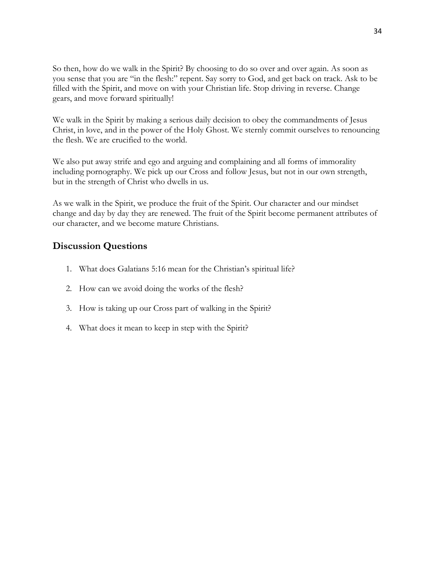So then, how do we walk in the Spirit? By choosing to do so over and over again. As soon as you sense that you are "in the flesh:" repent. Say sorry to God, and get back on track. Ask to be filled with the Spirit, and move on with your Christian life. Stop driving in reverse. Change gears, and move forward spiritually!

We walk in the Spirit by making a serious daily decision to obey the commandments of Jesus Christ, in love, and in the power of the Holy Ghost. We sternly commit ourselves to renouncing the flesh. We are crucified to the world.

We also put away strife and ego and arguing and complaining and all forms of immorality including pornography. We pick up our Cross and follow Jesus, but not in our own strength, but in the strength of Christ who dwells in us.

As we walk in the Spirit, we produce the fruit of the Spirit. Our character and our mindset change and day by day they are renewed. The fruit of the Spirit become permanent attributes of our character, and we become mature Christians.

#### **Discussion Questions**

- 1. What does Galatians 5:16 mean for the Christian's spiritual life?
- 2. How can we avoid doing the works of the flesh?
- 3. How is taking up our Cross part of walking in the Spirit?
- 4. What does it mean to keep in step with the Spirit?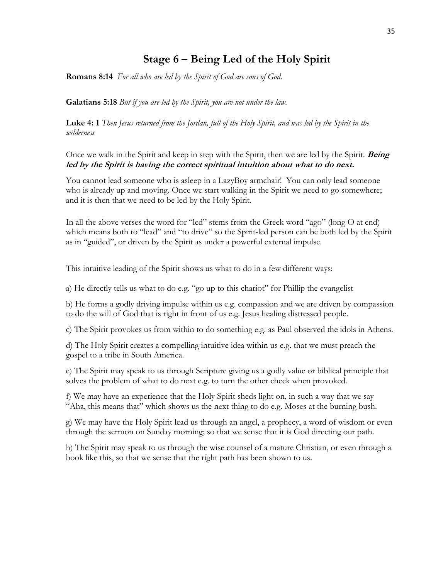## **Stage 6 – Being Led of the Holy Spirit**

**Romans 8:14** *For all who are led by the Spirit of God are sons of God.*

**Galatians 5:18** *But if you are led by the Spirit, you are not under the law.*

**Luke 4: 1** *Then Jesus returned from the Jordan, full of the Holy Spirit, and was led by the Spirit in the wilderness*

Once we walk in the Spirit and keep in step with the Spirit, then we are led by the Spirit. **Being led by the Spirit is having the correct spiritual intuition about what to do next.**

You cannot lead someone who is asleep in a LazyBoy armchair! You can only lead someone who is already up and moving. Once we start walking in the Spirit we need to go somewhere; and it is then that we need to be led by the Holy Spirit.

In all the above verses the word for "led" stems from the Greek word "ago" (long O at end) which means both to "lead" and "to drive" so the Spirit-led person can be both led by the Spirit as in "guided", or driven by the Spirit as under a powerful external impulse.

This intuitive leading of the Spirit shows us what to do in a few different ways:

a) He directly tells us what to do e.g. "go up to this chariot" for Phillip the evangelist

b) He forms a godly driving impulse within us e.g. compassion and we are driven by compassion to do the will of God that is right in front of us e.g. Jesus healing distressed people.

c) The Spirit provokes us from within to do something e.g. as Paul observed the idols in Athens.

d) The Holy Spirit creates a compelling intuitive idea within us e.g. that we must preach the gospel to a tribe in South America.

e) The Spirit may speak to us through Scripture giving us a godly value or biblical principle that solves the problem of what to do next e.g. to turn the other cheek when provoked.

f) We may have an experience that the Holy Spirit sheds light on, in such a way that we say "Aha, this means that" which shows us the next thing to do e.g. Moses at the burning bush.

g) We may have the Holy Spirit lead us through an angel, a prophecy, a word of wisdom or even through the sermon on Sunday morning; so that we sense that it is God directing our path.

h) The Spirit may speak to us through the wise counsel of a mature Christian, or even through a book like this, so that we sense that the right path has been shown to us.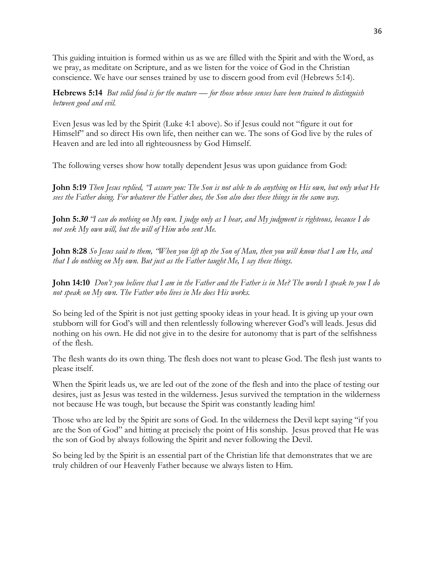This guiding intuition is formed within us as we are filled with the Spirit and with the Word, as we pray, as meditate on Scripture, and as we listen for the voice of God in the Christian conscience. We have our senses trained by use to discern good from evil (Hebrews 5:14).

**Hebrews 5:14** *But solid food is for the mature — for those whose senses have been trained to distinguish between good and evil.*

Even Jesus was led by the Spirit (Luke 4:1 above). So if Jesus could not "figure it out for Himself" and so direct His own life, then neither can we. The sons of God live by the rules of Heaven and are led into all righteousness by God Himself.

The following verses show how totally dependent Jesus was upon guidance from God:

**John 5:19** *Then Jesus replied, "I assure you: The Son is not able to do anything on His own, but only what He sees the Father doing. For whatever the Father does, the Son also does these things in the same way.*

**John 5:30** *"I can do nothing on My own. I judge only as I hear, and My judgment is righteous, because I do not seek My own will, but the will of Him who sent Me.*

**John 8:28** *So Jesus said to them, "When you lift up the Son of Man, then you will know that I am He, and that I do nothing on My own. But just as the Father taught Me, I say these things.*

**John 14:10** *Don't you believe that I am in the Father and the Father is in Me? The words I speak to you I do not speak on My own. The Father who lives in Me does His works.*

So being led of the Spirit is not just getting spooky ideas in your head. It is giving up your own stubborn will for God's will and then relentlessly following wherever God's will leads. Jesus did nothing on his own. He did not give in to the desire for autonomy that is part of the selfishness of the flesh.

The flesh wants do its own thing. The flesh does not want to please God. The flesh just wants to please itself.

When the Spirit leads us, we are led out of the zone of the flesh and into the place of testing our desires, just as Jesus was tested in the wilderness. Jesus survived the temptation in the wilderness not because He was tough, but because the Spirit was constantly leading him!

Those who are led by the Spirit are sons of God. In the wilderness the Devil kept saying "if you are the Son of God" and hitting at precisely the point of His sonship. Jesus proved that He was the son of God by always following the Spirit and never following the Devil.

So being led by the Spirit is an essential part of the Christian life that demonstrates that we are truly children of our Heavenly Father because we always listen to Him.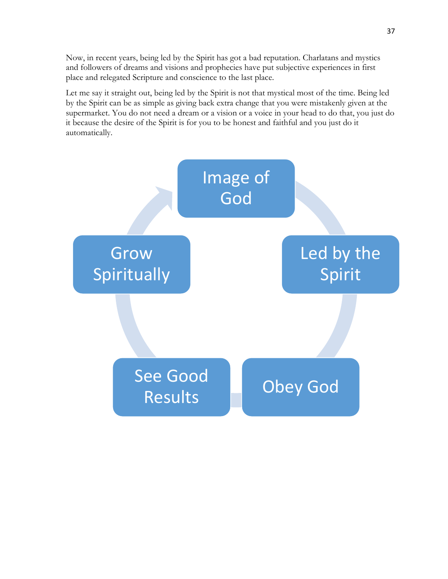Now, in recent years, being led by the Spirit has got a bad reputation. Charlatans and mystics and followers of dreams and visions and prophecies have put subjective experiences in first place and relegated Scripture and conscience to the last place.

Let me say it straight out, being led by the Spirit is not that mystical most of the time. Being led by the Spirit can be as simple as giving back extra change that you were mistakenly given at the supermarket. You do not need a dream or a vision or a voice in your head to do that, you just do it because the desire of the Spirit is for you to be honest and faithful and you just do it automatically.

![](_page_36_Figure_2.jpeg)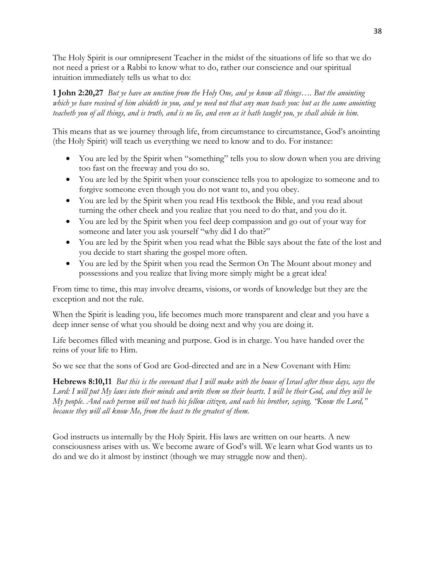The Holy Spirit is our omnipresent Teacher in the midst of the situations of life so that we do not need a priest or a Rabbi to know what to do, rather our conscience and our spiritual intuition immediately tells us what to do:

#### **1 John 2:20,27** *But ye have an unction from the Holy One, and ye know all things…. But the anointing which ye have received of him abideth in you, and ye need not that any man teach you: but as the same anointing teacheth you of all things, and is truth, and is no lie, and even as it hath taught you, ye shall abide in him.*

This means that as we journey through life, from circumstance to circumstance, God's anointing (the Holy Spirit) will teach us everything we need to know and to do. For instance:

- You are led by the Spirit when "something" tells you to slow down when you are driving too fast on the freeway and you do so.
- You are led by the Spirit when your conscience tells you to apologize to someone and to forgive someone even though you do not want to, and you obey.
- You are led by the Spirit when you read His textbook the Bible, and you read about turning the other cheek and you realize that you need to do that, and you do it.
- You are led by the Spirit when you feel deep compassion and go out of your way for someone and later you ask yourself "why did I do that?"
- You are led by the Spirit when you read what the Bible says about the fate of the lost and you decide to start sharing the gospel more often.
- You are led by the Spirit when you read the Sermon On The Mount about money and possessions and you realize that living more simply might be a great idea!

From time to time, this may involve dreams, visions, or words of knowledge but they are the exception and not the rule.

When the Spirit is leading you, life becomes much more transparent and clear and you have a deep inner sense of what you should be doing next and why you are doing it.

Life becomes filled with meaning and purpose. God is in charge. You have handed over the reins of your life to Him.

So we see that the sons of God are God-directed and are in a New Covenant with Him:

**Hebrews 8:10,11** *But this is the covenant that I will make with the house of Israel after those days, says the Lord: I will put My laws into their minds and write them on their hearts. I will be their God, and they will be My people. And each person will not teach his fellow citizen, and each his brother, saying, "Know the Lord," because they will all know Me, from the least to the greatest of them.* 

God instructs us internally by the Holy Spirit. His laws are written on our hearts. A new consciousness arises with us. We become aware of God's will. We learn what God wants us to do and we do it almost by instinct (though we may struggle now and then).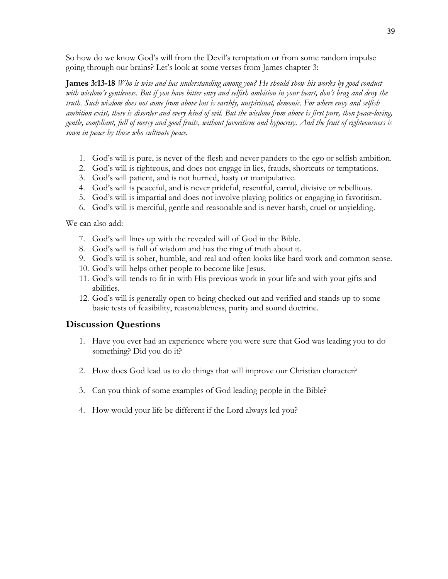So how do we know God's will from the Devil's temptation or from some random impulse going through our brains? Let's look at some verses from James chapter 3:

**James 3:13-18** *Who is wise and has understanding among you? He should show his works by good conduct with wisdom's gentleness. But if you have bitter envy and selfish ambition in your heart, don't brag and deny the truth. Such wisdom does not come from above but is earthly, unspiritual, demonic. For where envy and selfish ambition exist, there is disorder and every kind of evil. But the wisdom from above is first pure, then peace-loving, gentle, compliant, full of mercy and good fruits, without favoritism and hypocrisy. And the fruit of righteousness is sown in peace by those who cultivate peace.*

- 1. God's will is pure, is never of the flesh and never panders to the ego or selfish ambition.
- 2. God's will is righteous, and does not engage in lies, frauds, shortcuts or temptations.
- 3. God's will patient, and is not hurried, hasty or manipulative.
- 4. God's will is peaceful, and is never prideful, resentful, carnal, divisive or rebellious.
- 5. God's will is impartial and does not involve playing politics or engaging in favoritism.
- 6. God's will is merciful, gentle and reasonable and is never harsh, cruel or unyielding.

We can also add:

- 7. God's will lines up with the revealed will of God in the Bible.
- 8. God's will is full of wisdom and has the ring of truth about it.
- 9. God's will is sober, humble, and real and often looks like hard work and common sense.
- 10. God's will helps other people to become like Jesus.
- 11. God's will tends to fit in with His previous work in your life and with your gifts and abilities.
- 12. God's will is generally open to being checked out and verified and stands up to some basic tests of feasibility, reasonableness, purity and sound doctrine.

#### **Discussion Questions**

- 1. Have you ever had an experience where you were sure that God was leading you to do something? Did you do it?
- 2. How does God lead us to do things that will improve our Christian character?
- 3. Can you think of some examples of God leading people in the Bible?
- 4. How would your life be different if the Lord always led you?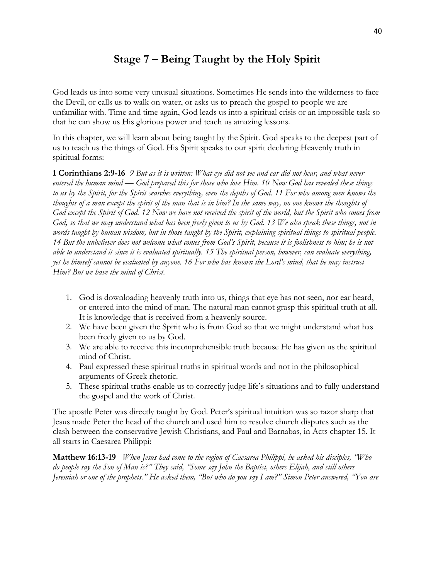## **Stage 7 – Being Taught by the Holy Spirit**

God leads us into some very unusual situations. Sometimes He sends into the wilderness to face the Devil, or calls us to walk on water, or asks us to preach the gospel to people we are unfamiliar with. Time and time again, God leads us into a spiritual crisis or an impossible task so that he can show us His glorious power and teach us amazing lessons.

In this chapter, we will learn about being taught by the Spirit. God speaks to the deepest part of us to teach us the things of God. His Spirit speaks to our spirit declaring Heavenly truth in spiritual forms:

**1 Corinthians 2:9-16** *9 But as it is written: What eye did not see and ear did not hear, and what never entered the human mind — God prepared this for those who love Him. 10 Now God has revealed these things to us by the Spirit, for the Spirit searches everything, even the depths of God. 11 For who among men knows the thoughts of a man except the spirit of the man that is in him? In the same way, no one knows the thoughts of God except the Spirit of God. 12 Now we have not received the spirit of the world, but the Spirit who comes from God, so that we may understand what has been freely given to us by God. 13 We also speak these things, not in words taught by human wisdom, but in those taught by the Spirit, explaining spiritual things to spiritual people. 14 But the unbeliever does not welcome what comes from God's Spirit, because it is foolishness to him; he is not able to understand it since it is evaluated spiritually. 15 The spiritual person, however, can evaluate everything, yet he himself cannot be evaluated by anyone. 16 For who has known the Lord's mind, that he may instruct Him? But we have the mind of Christ.*

- 1. God is downloading heavenly truth into us, things that eye has not seen, nor ear heard, or entered into the mind of man. The natural man cannot grasp this spiritual truth at all. It is knowledge that is received from a heavenly source.
- 2. We have been given the Spirit who is from God so that we might understand what has been freely given to us by God.
- 3. We are able to receive this incomprehensible truth because He has given us the spiritual mind of Christ.
- 4. Paul expressed these spiritual truths in spiritual words and not in the philosophical arguments of Greek rhetoric.
- 5. These spiritual truths enable us to correctly judge life's situations and to fully understand the gospel and the work of Christ.

The apostle Peter was directly taught by God. Peter's spiritual intuition was so razor sharp that Jesus made Peter the head of the church and used him to resolve church disputes such as the clash between the conservative Jewish Christians, and Paul and Barnabas, in Acts chapter 15. It all starts in Caesarea Philippi:

**Matthew 16:13-19** *When Jesus had come to the region of Caesarea Philippi, he asked his disciples, "Who do people say the Son of Man is?" They said, "Some say John the Baptist, others Elijah, and still others Jeremiah or one of the prophets." He asked them, "But who do you say I am?" Simon Peter answered, "You are*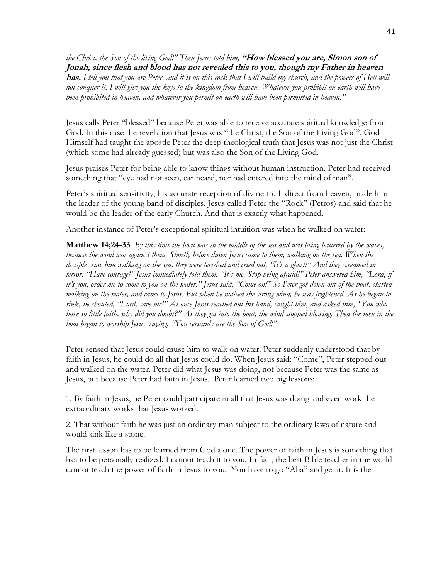*the Christ, the Son of the living God!" Then Jesus told him,* **"How blessed you are, Simon son of Jonah, since flesh and blood has not revealed this to you, though my Father in heaven has.** *I tell you that you are Peter, and it is on this rock that I will build my church, and the powers of Hell will not conquer it. I will give you the keys to the kingdom from heaven. Whatever you prohibit on earth will have been prohibited in heaven, and whatever you permit on earth will have been permitted in heaven."*

Jesus calls Peter "blessed" because Peter was able to receive accurate spiritual knowledge from God. In this case the revelation that Jesus was "the Christ, the Son of the Living God". God Himself had taught the apostle Peter the deep theological truth that Jesus was not just the Christ (which some had already guessed) but was also the Son of the Living God.

Jesus praises Peter for being able to know things without human instruction. Peter had received something that "eye had not seen, ear heard, nor had entered into the mind of man".

Peter's spiritual sensitivity, his accurate reception of divine truth direct from heaven, made him the leader of the young band of disciples. Jesus called Peter the "Rock" (Petros) and said that he would be the leader of the early Church. And that is exactly what happened.

Another instance of Peter's exceptional spiritual intuition was when he walked on water:

**Matthew 14;24-33** *By this time the boat was in the middle of the sea and was being battered by the waves, because the wind was against them. Shortly before dawn Jesus came to them, walking on the sea. When the disciples saw him walking on the sea, they were terrified and cried out, "It's a ghost!" And they screamed in terror. "Have courage!" Jesus immediately told them. "It's me. Stop being afraid!" Peter answered him, "Lord, if it's you, order me to come to you on the water." Jesus said, "Come on!" So Peter got down out of the boat, started walking on the water, and came to Jesus. But when he noticed the strong wind, he was frightened. As he began to sink, he shouted, "Lord, save me!" At once Jesus reached out his hand, caught him, and asked him, "You who have so little faith, why did you doubt?" As they got into the boat, the wind stopped blowing. Then the men in the boat began to worship Jesus, saying, "You certainly are the Son of God!"*

Peter sensed that Jesus could cause him to walk on water. Peter suddenly understood that by faith in Jesus, he could do all that Jesus could do. When Jesus said: "Come", Peter stepped out and walked on the water. Peter did what Jesus was doing, not because Peter was the same as Jesus, but because Peter had faith in Jesus. Peter learned two big lessons:

1. By faith in Jesus, he Peter could participate in all that Jesus was doing and even work the extraordinary works that Jesus worked.

2, That without faith he was just an ordinary man subject to the ordinary laws of nature and would sink like a stone.

The first lesson has to be learned from God alone. The power of faith in Jesus is something that has to be personally realized. I cannot teach it to you. In fact, the best Bible teacher in the world cannot teach the power of faith in Jesus to you. You have to go "Aha" and get it. It is the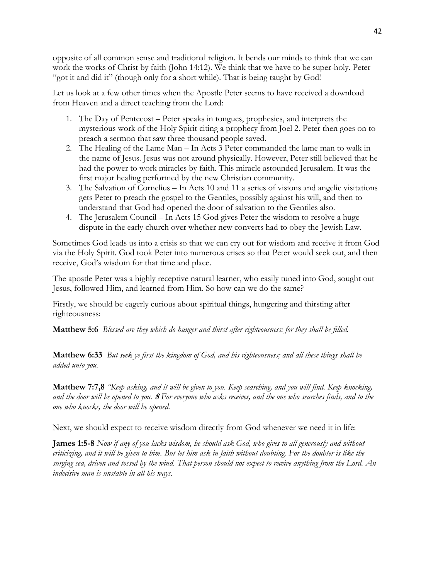opposite of all common sense and traditional religion. It bends our minds to think that we can work the works of Christ by faith (John 14:12). We think that we have to be super-holy. Peter "got it and did it" (though only for a short while). That is being taught by God!

Let us look at a few other times when the Apostle Peter seems to have received a download from Heaven and a direct teaching from the Lord:

- 1. The Day of Pentecost Peter speaks in tongues, prophesies, and interprets the mysterious work of the Holy Spirit citing a prophecy from Joel 2. Peter then goes on to preach a sermon that saw three thousand people saved.
- 2. The Healing of the Lame Man In Acts 3 Peter commanded the lame man to walk in the name of Jesus. Jesus was not around physically. However, Peter still believed that he had the power to work miracles by faith. This miracle astounded Jerusalem. It was the first major healing performed by the new Christian community.
- 3. The Salvation of Cornelius In Acts 10 and 11 a series of visions and angelic visitations gets Peter to preach the gospel to the Gentiles, possibly against his will, and then to understand that God had opened the door of salvation to the Gentiles also.
- 4. The Jerusalem Council In Acts 15 God gives Peter the wisdom to resolve a huge dispute in the early church over whether new converts had to obey the Jewish Law.

Sometimes God leads us into a crisis so that we can cry out for wisdom and receive it from God via the Holy Spirit. God took Peter into numerous crises so that Peter would seek out, and then receive, God's wisdom for that time and place.

The apostle Peter was a highly receptive natural learner, who easily tuned into God, sought out Jesus, followed Him, and learned from Him. So how can we do the same?

Firstly, we should be eagerly curious about spiritual things, hungering and thirsting after righteousness:

**Matthew 5:6** *Blessed are they which do hunger and thirst after righteousness: for they shall be filled.*

**Matthew 6:33** *But seek ye first the kingdom of God, and his righteousness; and all these things shall be added unto you.*

**Matthew 7:7,8** *"Keep asking, and it will be given to you. Keep searching, and you will find. Keep knocking, and the door will be opened to you.* **<sup>8</sup>***For everyone who asks receives, and the one who searches finds, and to the one who knocks, the door will be opened.*

Next, we should expect to receive wisdom directly from God whenever we need it in life:

**James 1:5-8** *Now if any of you lacks wisdom, he should ask God, who gives to all generously and without criticizing, and it will be given to him. But let him ask in faith without doubting. For the doubter is like the surging sea, driven and tossed by the wind. That person should not expect to receive anything from the Lord. An indecisive man is unstable in all his ways.*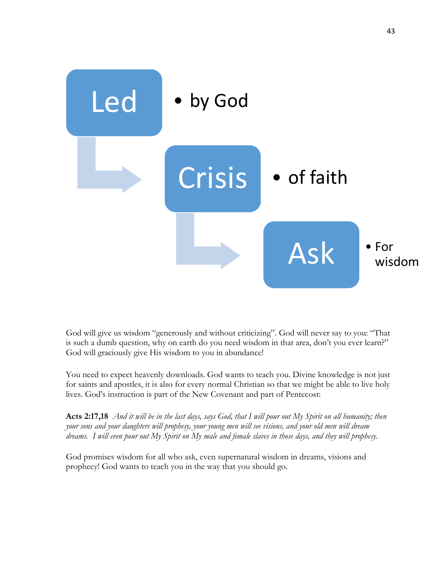![](_page_42_Figure_0.jpeg)

God will give us wisdom "generously and without criticizing". God will never say to you: "That is such a dumb question, why on earth do you need wisdom in that area, don't you ever learn?" God will graciously give His wisdom to you in abundance!

You need to expect heavenly downloads. God wants to teach you. Divine knowledge is not just for saints and apostles, it is also for every normal Christian so that we might be able to live holy lives. God's instruction is part of the New Covenant and part of Pentecost:

**Acts 2:17,18** *And it will be in the last days, says God, that I will pour out My Spirit on all humanity; then your sons and your daughters will prophesy, your young men will see visions, and your old men will dream dreams. I will even pour out My Spirit on My male and female slaves in those days, and they will prophesy.*

God promises wisdom for all who ask, even supernatural wisdom in dreams, visions and prophecy! God wants to teach you in the way that you should go.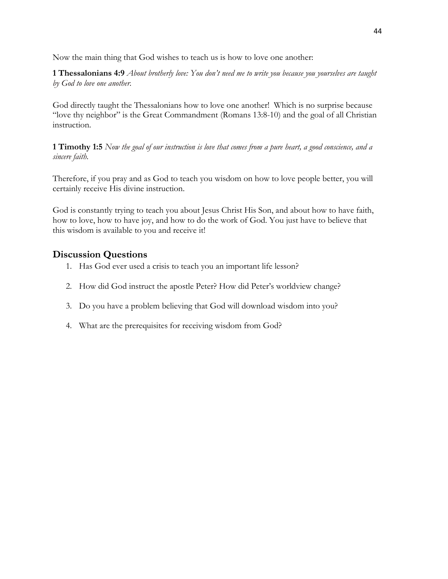Now the main thing that God wishes to teach us is how to love one another:

**1 Thessalonians 4:9** *About brotherly love: You don't need me to write you because you yourselves are taught by God to love one another.*

God directly taught the Thessalonians how to love one another! Which is no surprise because "love thy neighbor" is the Great Commandment (Romans 13:8-10) and the goal of all Christian instruction.

**1 Timothy 1:5** *Now the goal of our instruction is love that comes from a pure heart, a good conscience, and a sincere faith.*

Therefore, if you pray and as God to teach you wisdom on how to love people better, you will certainly receive His divine instruction.

God is constantly trying to teach you about Jesus Christ His Son, and about how to have faith, how to love, how to have joy, and how to do the work of God. You just have to believe that this wisdom is available to you and receive it!

#### **Discussion Questions**

- 1. Has God ever used a crisis to teach you an important life lesson?
- 2. How did God instruct the apostle Peter? How did Peter's worldview change?
- 3. Do you have a problem believing that God will download wisdom into you?
- 4. What are the prerequisites for receiving wisdom from God?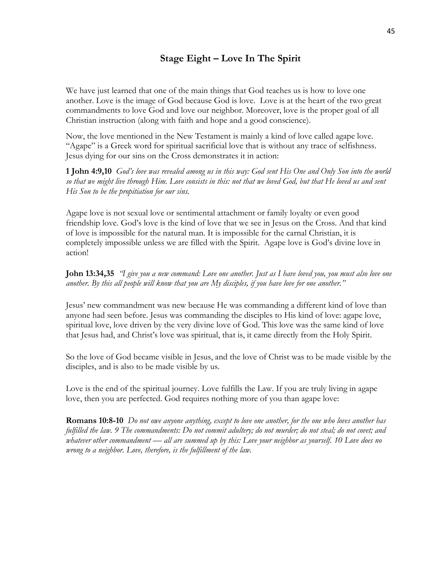#### **Stage Eight – Love In The Spirit**

We have just learned that one of the main things that God teaches us is how to love one another. Love is the image of God because God is love. Love is at the heart of the two great commandments to love God and love our neighbor. Moreover, love is the proper goal of all Christian instruction (along with faith and hope and a good conscience).

Now, the love mentioned in the New Testament is mainly a kind of love called agape love. "Agape" is a Greek word for spiritual sacrificial love that is without any trace of selfishness. Jesus dying for our sins on the Cross demonstrates it in action:

**1 John 4:9,10** *God's love was revealed among us in this way: God sent His One and Only Son into the world so that we might live through Him. Love consists in this: not that we loved God, but that He loved us and sent His Son to be the propitiation for our sins.*

Agape love is not sexual love or sentimental attachment or family loyalty or even good friendship love. God's love is the kind of love that we see in Jesus on the Cross. And that kind of love is impossible for the natural man. It is impossible for the carnal Christian, it is completely impossible unless we are filled with the Spirit. Agape love is God's divine love in action!

**John 13:34,35** *"I give you a new command: Love one another. Just as I have loved you, you must also love one another. By this all people will know that you are My disciples, if you have love for one another."*

Jesus' new commandment was new because He was commanding a different kind of love than anyone had seen before. Jesus was commanding the disciples to His kind of love: agape love, spiritual love, love driven by the very divine love of God. This love was the same kind of love that Jesus had, and Christ's love was spiritual, that is, it came directly from the Holy Spirit.

So the love of God became visible in Jesus, and the love of Christ was to be made visible by the disciples, and is also to be made visible by us.

Love is the end of the spiritual journey. Love fulfills the Law. If you are truly living in agape love, then you are perfected. God requires nothing more of you than agape love:

**Romans 10:8-10** *Do not owe anyone anything, except to love one another, for the one who loves another has fulfilled the law. 9 The commandments: Do not commit adultery; do not murder; do not steal; do not covet; and whatever other commandment — all are summed up by this: Love your neighbor as yourself. 10 Love does no wrong to a neighbor. Love, therefore, is the fulfillment of the law.*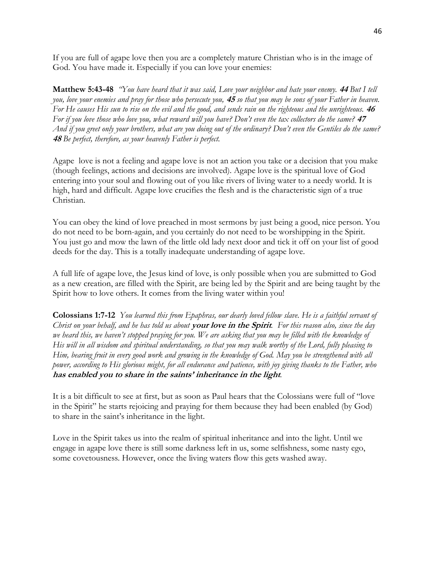If you are full of agape love then you are a completely mature Christian who is in the image of God. You have made it. Especially if you can love your enemies:

**Matthew 5:43-48** *"You have heard that it was said, Love your neighbor and hate your enemy.* **<sup>44</sup>***But I tell you, love your enemies and pray for those who persecute you,* **<sup>45</sup>***so that you may be sons of your Father in heaven. For He causes His sun to rise on the evil and the good, and sends rain on the righteous and the unrighteous.* **<sup>46</sup>** *For if you love those who love you, what reward will you have? Don't even the tax collectors do the same?* **<sup>47</sup>** *And if you greet only your brothers, what are you doing out of the ordinary? Don't even the Gentiles do the same?* **<sup>48</sup>***Be perfect, therefore, as your heavenly Father is perfect.*

Agape love is not a feeling and agape love is not an action you take or a decision that you make (though feelings, actions and decisions are involved). Agape love is the spiritual love of God entering into your soul and flowing out of you like rivers of living water to a needy world. It is high, hard and difficult. Agape love crucifies the flesh and is the characteristic sign of a true Christian.

You can obey the kind of love preached in most sermons by just being a good, nice person. You do not need to be born-again, and you certainly do not need to be worshipping in the Spirit. You just go and mow the lawn of the little old lady next door and tick it off on your list of good deeds for the day. This is a totally inadequate understanding of agape love.

A full life of agape love, the Jesus kind of love, is only possible when you are submitted to God as a new creation, are filled with the Spirit, are being led by the Spirit and are being taught by the Spirit how to love others. It comes from the living water within you!

**Colossians 1:7-12** *You learned this from Epaphras, our dearly loved fellow slave. He is a faithful servant of Christ on your behalf, and he has told us about* **your love in the Spirit***.**For this reason also, since the day we heard this, we haven't stopped praying for you. We are asking that you may be filled with the knowledge of His will in all wisdom and spiritual understanding, so that you may walk worthy of the Lord, fully pleasing to Him, bearing fruit in every good work and growing in the knowledge of God. May you be strengthened with all power, according to His glorious might, for all endurance and patience, with joy giving thanks to the Father, who*  **has enabled you to share in the saints' inheritance in the light***.*

It is a bit difficult to see at first, but as soon as Paul hears that the Colossians were full of "love in the Spirit" he starts rejoicing and praying for them because they had been enabled (by God) to share in the saint's inheritance in the light.

Love in the Spirit takes us into the realm of spiritual inheritance and into the light. Until we engage in agape love there is still some darkness left in us, some selfishness, some nasty ego, some covetousness. However, once the living waters flow this gets washed away.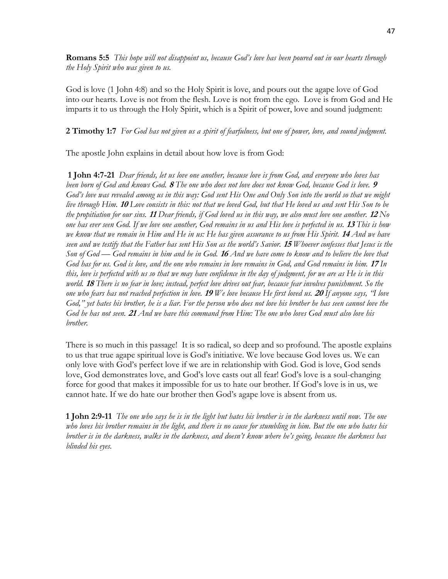**Romans 5:5** *This hope will not disappoint us, because God's love has been poured out in our hearts through the Holy Spirit who was given to us.*

God is love (1 John 4:8) and so the Holy Spirit is love, and pours out the agape love of God into our hearts. Love is not from the flesh. Love is not from the ego. Love is from God and He imparts it to us through the Holy Spirit, which is a Spirit of power, love and sound judgment:

#### **2 Timothy 1:7** *For God has not given us a spirit of fearfulness, but one of power, love, and sound judgment.*

The apostle John explains in detail about how love is from God:

**1 John 4:7-21** *Dear friends, let us love one another, because love is from God, and everyone who loves has been born of God and knows God.* **<sup>8</sup>***The one who does not love does not know God, because God is love.* **<sup>9</sup>** *God's love was revealed among us in this way: God sent His One and Only Son into the world so that we might live through Him.* **<sup>10</sup>***Love consists in this: not that we loved God, but that He loved us and sent His Son to be the propitiation for our sins.* **<sup>11</sup>***Dear friends, if God loved us in this way, we also must love one another.* **<sup>12</sup>***No one has ever seen God. If we love one another, God remains in us and His love is perfected in us.* **<sup>13</sup>***This is how we know that we remain in Him and He in us: He has given assurance to us from His Spirit.* **<sup>14</sup>***And we have seen and we testify that the Father has sent His Son as the world's Savior.* **<sup>15</sup>***Whoever confesses that Jesus is the Son of God — God remains in him and he in God.* **<sup>16</sup>***And we have come to know and to believe the love that God has for us. God is love, and the one who remains in love remains in God, and God remains in him.* **<sup>17</sup>***In this, love is perfected with us so that we may have confidence in the day of judgment, for we are as He is in this world.* **<sup>18</sup>***There is no fear in love; instead, perfect love drives out fear, because fear involves punishment. So the one who fears has not reached perfection in love.* **<sup>19</sup>***We love because He first loved us.* **<sup>20</sup>***If anyone says, "I love God," yet hates his brother, he is a liar. For the person who does not love his brother he has seen cannot love the God he has not seen.* **<sup>21</sup>***And we have this command from Him: The one who loves God must also love his brother.*

There is so much in this passage! It is so radical, so deep and so profound. The apostle explains to us that true agape spiritual love is God's initiative. We love because God loves us. We can only love with God's perfect love if we are in relationship with God. God is love, God sends love, God demonstrates love, and God's love casts out all fear! God's love is a soul-changing force for good that makes it impossible for us to hate our brother. If God's love is in us, we cannot hate. If we do hate our brother then God's agape love is absent from us.

**1 John 2:9-11** *The one who says he is in the light but hates his brother is in the darkness until now. The one who loves his brother remains in the light, and there is no cause for stumbling in him. But the one who hates his brother is in the darkness, walks in the darkness, and doesn't know where he's going, because the darkness has blinded his eyes.*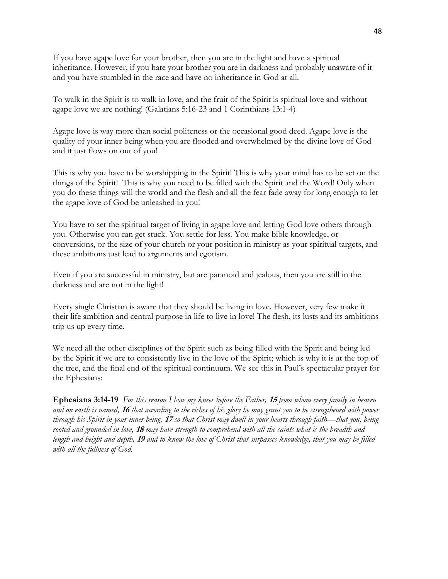If you have agape love for your brother, then you are in the light and have a spiritual inheritance. However, if you hate your brother you are in darkness and probably unaware of it and you have stumbled in the race and have no inheritance in God at all.

To walk in the Spirit is to walk in love, and the fruit of the Spirit is spiritual love and without agape love we are nothing! (Galatians 5:16-23 and 1 Corinthians 13:1-4)

Agape love is way more than social politeness or the occasional good deed. Agape love is the quality of your inner being when you are flooded and overwhelmed by the divine love of God and it just flows on out of you!

This is why you have to be worshipping in the Spirit! This is why your mind has to be set on the things of the Spirit! This is why you need to be filled with the Spirit and the Word! Only when you do these things will the world and the flesh and all the fear fade away for long enough to let the agape love of God be unleashed in you!

You have to set the spiritual target of living in agape love and letting God love others through you. Otherwise you can get stuck. You settle for less. You make bible knowledge, or conversions, or the size of your church or your position in ministry as your spiritual targets, and these ambitions just lead to arguments and egotism.

Even if you are successful in ministry, but are paranoid and jealous, then you are still in the darkness and are not in the light!

Every single Christian is aware that they should be living in love. However, very few make it their life ambition and central purpose in life to live in love! The flesh, its lusts and its ambitions trip us up every time.

We need all the other disciplines of the Spirit such as being filled with the Spirit and being led by the Spirit if we are to consistently live in the love of the Spirit; which is why it is at the top of the tree, and the final end of the spiritual continuum. We see this in Paul's spectacular prayer for the Ephesians:

**Ephesians 3:14-19** *For this reason I bow my knees before the Father,* **<sup>15</sup>***from whom every family in heaven and on earth is named,* **<sup>16</sup>***that according to the riches of his glory he may grant you to be strengthened with power through his Spirit in your inner being,* **<sup>17</sup>***so that Christ may dwell in your hearts through faith—that you, being rooted and grounded in love,* **<sup>18</sup>***may have strength to comprehend with all the saints what is the breadth and length and height and depth,* **<sup>19</sup>***and to know the love of Christ that surpasses knowledge, that you may be filled with all the fullness of God.*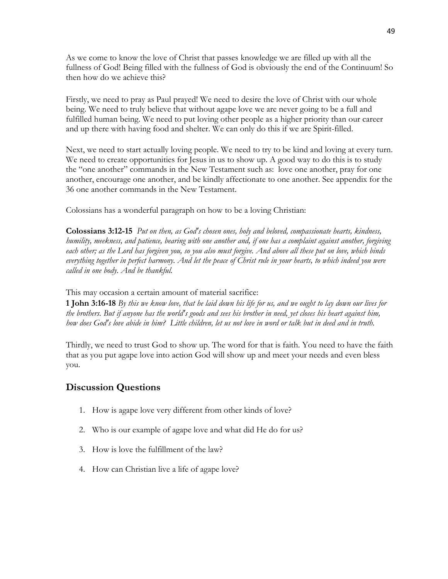As we come to know the love of Christ that passes knowledge we are filled up with all the fullness of God! Being filled with the fullness of God is obviously the end of the Continuum! So then how do we achieve this?

Firstly, we need to pray as Paul prayed! We need to desire the love of Christ with our whole being. We need to truly believe that without agape love we are never going to be a full and fulfilled human being. We need to put loving other people as a higher priority than our career and up there with having food and shelter. We can only do this if we are Spirit-filled.

Next, we need to start actually loving people. We need to try to be kind and loving at every turn. We need to create opportunities for Jesus in us to show up. A good way to do this is to study the "one another" commands in the New Testament such as: love one another, pray for one another, encourage one another, and be kindly affectionate to one another. See appendix for the 36 one another commands in the New Testament.

Colossians has a wonderful paragraph on how to be a loving Christian:

**Colossians 3:12-15** *Put on then, as God's chosen ones, holy and beloved, compassionate hearts, kindness, humility, meekness, and patience, bearing with one another and, if one has a complaint against another, forgiving each other; as the Lord has forgiven you, so you also must forgive. And above all these put on love, which binds everything together in perfect harmony. And let the peace of Christ rule in your hearts, to which indeed you were called in one body. And be thankful.*

This may occasion a certain amount of material sacrifice:

**1 John 3:16-18** *By this we know love, that he laid down his life for us, and we ought to lay down our lives for the brothers. But if anyone has the world's goods and sees his brother in need, yet closes his heart against him, how does God's love abide in him? Little children, let us not love in word or talk but in deed and in truth.*

Thirdly, we need to trust God to show up. The word for that is faith. You need to have the faith that as you put agape love into action God will show up and meet your needs and even bless you.

## **Discussion Questions**

- 1. How is agape love very different from other kinds of love?
- 2. Who is our example of agape love and what did He do for us?
- 3. How is love the fulfillment of the law?
- 4. How can Christian live a life of agape love?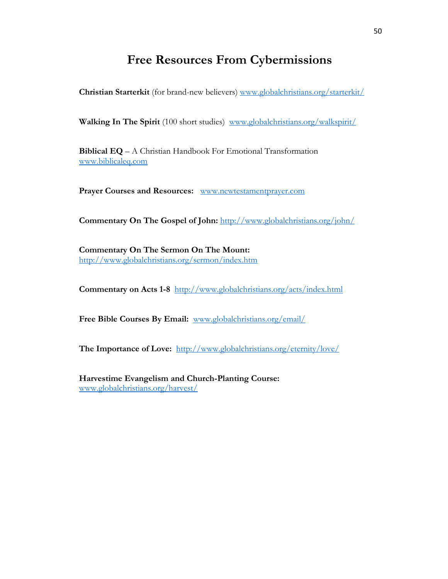## **Free Resources From Cybermissions**

**Christian Starterkit** (for brand-new believers) [www.globalchristians.org/starterkit/](http://www.globalchristians.org/starterkit/)

**Walking In The Spirit** (100 short studies) [www.globalchristians.org/walkspirit/](http://www.globalchristians.org/walkspirit/)

**Biblical EQ** – A Christian Handbook For Emotional Transformation [www.biblicaleq.com](http://www.biblicaleq.com/) 

**Prayer Courses and Resources:** [www.newtestamentprayer.com](http://www.newtestamentprayer.com/)

Commentary On The Gospel of John: <http://www.globalchristians.org/john/>

**Commentary On The Sermon On The Mount:** <http://www.globalchristians.org/sermon/index.htm>

**Commentary on Acts 1-8** <http://www.globalchristians.org/acts/index.html>

**Free Bible Courses By Email:** [www.globalchristians.org/email/](http://www.globalchristians.org/email/)

**The Importance of Love:** <http://www.globalchristians.org/eternity/love/>

**Harvestime Evangelism and Church-Planting Course:** [www.globalchristians.org/harvest/](http://www.globalchristians.org/harvest/)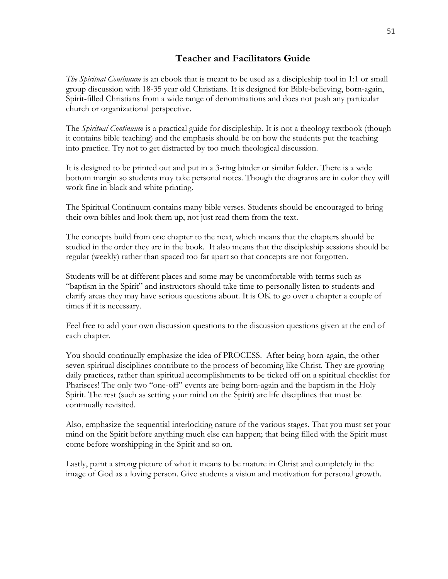#### **Teacher and Facilitators Guide**

*The Spiritual Continuum* is an ebook that is meant to be used as a discipleship tool in 1:1 or small group discussion with 18-35 year old Christians. It is designed for Bible-believing, born-again, Spirit-filled Christians from a wide range of denominations and does not push any particular church or organizational perspective.

The *Spiritual Continuum* is a practical guide for discipleship. It is not a theology textbook (though it contains bible teaching) and the emphasis should be on how the students put the teaching into practice. Try not to get distracted by too much theological discussion.

It is designed to be printed out and put in a 3-ring binder or similar folder. There is a wide bottom margin so students may take personal notes. Though the diagrams are in color they will work fine in black and white printing.

The Spiritual Continuum contains many bible verses. Students should be encouraged to bring their own bibles and look them up, not just read them from the text.

The concepts build from one chapter to the next, which means that the chapters should be studied in the order they are in the book. It also means that the discipleship sessions should be regular (weekly) rather than spaced too far apart so that concepts are not forgotten.

Students will be at different places and some may be uncomfortable with terms such as "baptism in the Spirit" and instructors should take time to personally listen to students and clarify areas they may have serious questions about. It is OK to go over a chapter a couple of times if it is necessary.

Feel free to add your own discussion questions to the discussion questions given at the end of each chapter.

You should continually emphasize the idea of PROCESS. After being born-again, the other seven spiritual disciplines contribute to the process of becoming like Christ. They are growing daily practices, rather than spiritual accomplishments to be ticked off on a spiritual checklist for Pharisees! The only two "one-off" events are being born-again and the baptism in the Holy Spirit. The rest (such as setting your mind on the Spirit) are life disciplines that must be continually revisited.

Also, emphasize the sequential interlocking nature of the various stages. That you must set your mind on the Spirit before anything much else can happen; that being filled with the Spirit must come before worshipping in the Spirit and so on.

Lastly, paint a strong picture of what it means to be mature in Christ and completely in the image of God as a loving person. Give students a vision and motivation for personal growth.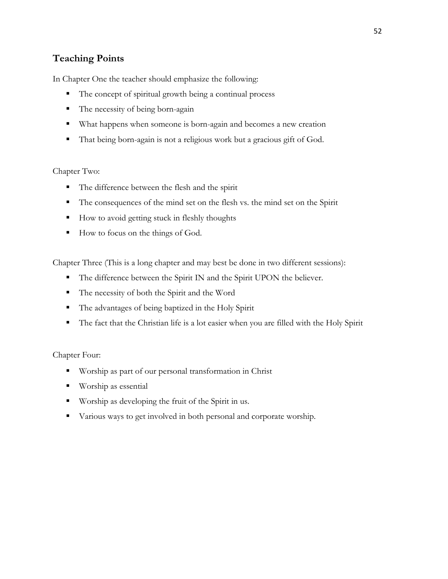## **Teaching Points**

In Chapter One the teacher should emphasize the following:

- The concept of spiritual growth being a continual process
- The necessity of being born-again
- What happens when someone is born-again and becomes a new creation
- That being born-again is not a religious work but a gracious gift of God.

#### Chapter Two:

- The difference between the flesh and the spirit
- The consequences of the mind set on the flesh vs. the mind set on the Spirit
- How to avoid getting stuck in fleshly thoughts
- How to focus on the things of God.

Chapter Three (This is a long chapter and may best be done in two different sessions):

- The difference between the Spirit IN and the Spirit UPON the believer.
- The necessity of both the Spirit and the Word
- The advantages of being baptized in the Holy Spirit
- The fact that the Christian life is a lot easier when you are filled with the Holy Spirit

#### Chapter Four:

- Worship as part of our personal transformation in Christ
- Worship as essential
- Worship as developing the fruit of the Spirit in us.
- Various ways to get involved in both personal and corporate worship.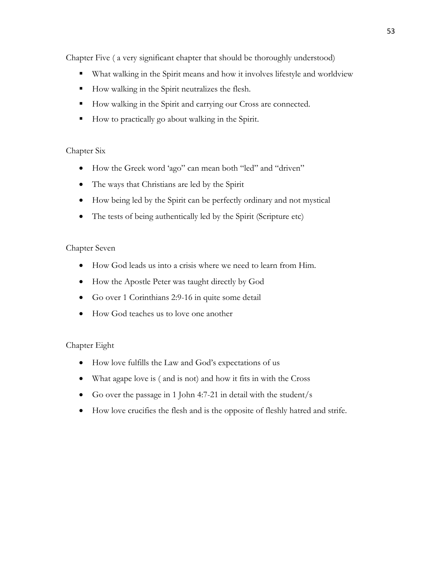Chapter Five ( a very significant chapter that should be thoroughly understood)

- What walking in the Spirit means and how it involves lifestyle and worldview
- How walking in the Spirit neutralizes the flesh.
- How walking in the Spirit and carrying our Cross are connected.
- How to practically go about walking in the Spirit.

#### Chapter Six

- How the Greek word 'ago" can mean both "led" and "driven"
- The ways that Christians are led by the Spirit
- How being led by the Spirit can be perfectly ordinary and not mystical
- The tests of being authentically led by the Spirit (Scripture etc)

#### Chapter Seven

- How God leads us into a crisis where we need to learn from Him.
- How the Apostle Peter was taught directly by God
- Go over 1 Corinthians 2:9-16 in quite some detail
- How God teaches us to love one another

#### Chapter Eight

- How love fulfills the Law and God's expectations of us
- What agape love is ( and is not) and how it fits in with the Cross
- Go over the passage in 1 John 4:7-21 in detail with the student/s
- How love crucifies the flesh and is the opposite of fleshly hatred and strife.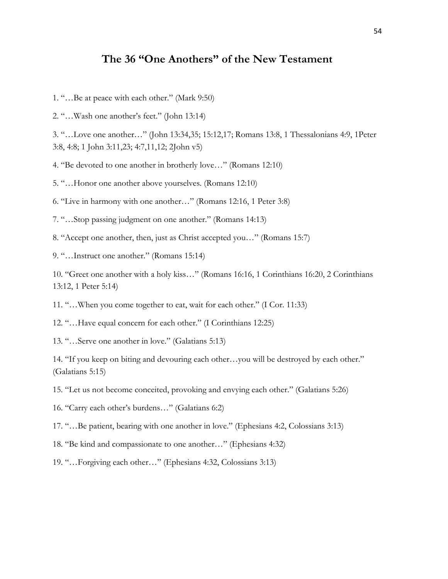## **The 36 "One Anothers" of the New Testament**

- 1. "…Be at peace with each other." (Mark 9:50)
- 2. "…Wash one another's feet." (John 13:14)

3. "…Love one another…" (John 13:34,35; 15:12,17; Romans 13:8, 1 Thessalonians 4:9, 1Peter 3:8, 4:8; 1 John 3:11,23; 4:7,11,12; 2John v5)

4. "Be devoted to one another in brotherly love…" (Romans 12:10)

5. "…Honor one another above yourselves. (Romans 12:10)

6. "Live in harmony with one another…" (Romans 12:16, 1 Peter 3:8)

7. "…Stop passing judgment on one another." (Romans 14:13)

8. "Accept one another, then, just as Christ accepted you…" (Romans 15:7)

9. "…Instruct one another." (Romans 15:14)

10. "Greet one another with a holy kiss…" (Romans 16:16, 1 Corinthians 16:20, 2 Corinthians 13:12, 1 Peter 5:14)

11. "…When you come together to eat, wait for each other." (I Cor. 11:33)

12. "…Have equal concern for each other." (I Corinthians 12:25)

13. "…Serve one another in love." (Galatians 5:13)

14. "If you keep on biting and devouring each other…you will be destroyed by each other." (Galatians 5:15)

15. "Let us not become conceited, provoking and envying each other." (Galatians 5:26)

16. "Carry each other's burdens…" (Galatians 6:2)

17. "…Be patient, bearing with one another in love." (Ephesians 4:2, Colossians 3:13)

18. "Be kind and compassionate to one another…" (Ephesians 4:32)

19. "…Forgiving each other…" (Ephesians 4:32, Colossians 3:13)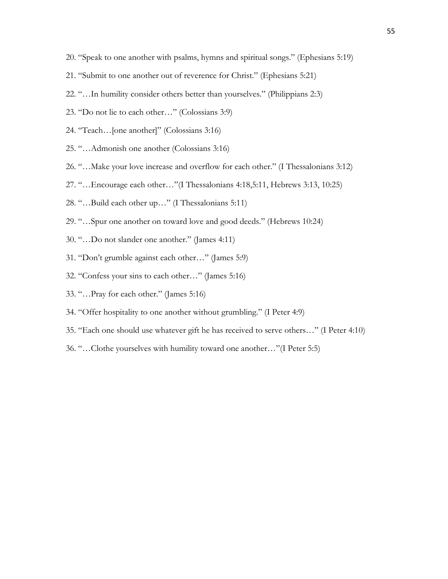- 20. "Speak to one another with psalms, hymns and spiritual songs." (Ephesians 5:19)
- 21. "Submit to one another out of reverence for Christ." (Ephesians 5:21)
- 22. "…In humility consider others better than yourselves." (Philippians 2:3)
- 23. "Do not lie to each other…" (Colossians 3:9)
- 24. "Teach…[one another]" (Colossians 3:16)
- 25. "…Admonish one another (Colossians 3:16)
- 26. "…Make your love increase and overflow for each other." (I Thessalonians 3:12)
- 27. "…Encourage each other…"(I Thessalonians 4:18,5:11, Hebrews 3:13, 10:25)
- 28. "…Build each other up…" (I Thessalonians 5:11)
- 29. "…Spur one another on toward love and good deeds." (Hebrews 10:24)
- 30. "…Do not slander one another." (James 4:11)
- 31. "Don't grumble against each other…" (James 5:9)
- 32. "Confess your sins to each other…" (James 5:16)
- 33. "…Pray for each other." (James 5:16)
- 34. "Offer hospitality to one another without grumbling." (I Peter 4:9)
- 35. "Each one should use whatever gift he has received to serve others…" (I Peter 4:10)
- 36. "…Clothe yourselves with humility toward one another…"(I Peter 5:5)